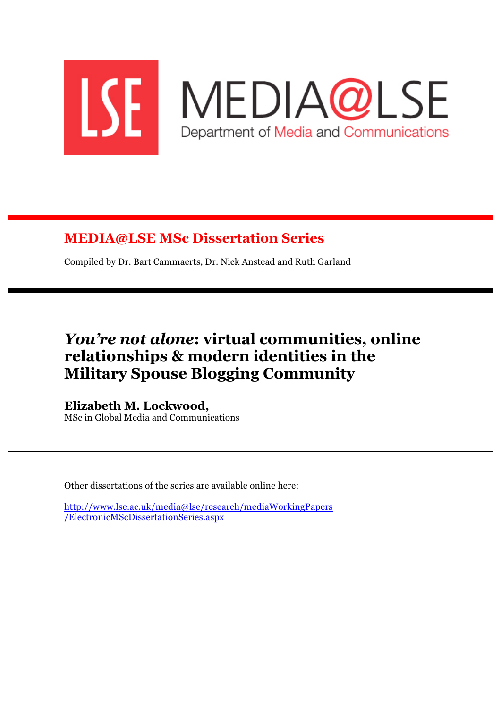

# **MEDIA@LSE MSc Dissertation Series**

Compiled by Dr. Bart Cammaerts, Dr. Nick Anstead and Ruth Garland

# *You're not alone***: virtual communities, online relationships & modern identities in the Military Spouse Blogging Community**

**Elizabeth M. Lockwood,** MSc in Global Media and Communications

Other dissertations of the series are available online here:

http://www.lse.ac.uk/media@lse/research/mediaWorkingPapers /ElectronicMScDissertationSeries.aspx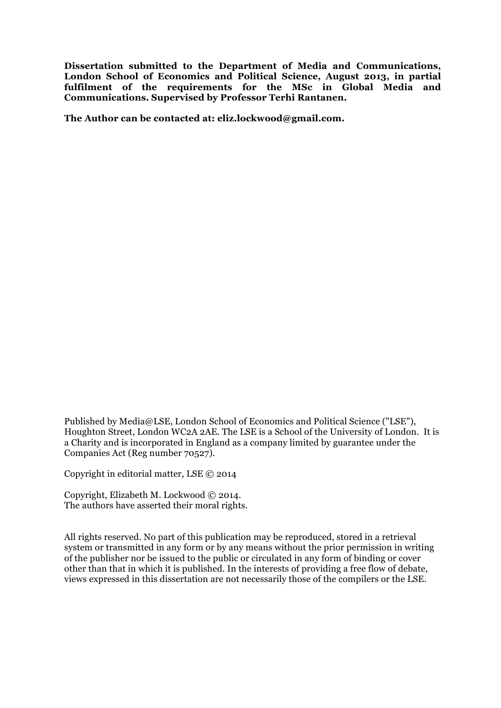**Dissertation submitted to the Department of Media and Communications, London School of Economics and Political Science, August 2013, in partial fulfilment of the requirements for the MSc in Global Media and Communications. Supervised by Professor Terhi Rantanen.**

**The Author can be contacted at: eliz.lockwood@gmail.com.**

Published by Media@LSE, London School of Economics and Political Science ("LSE"), Houghton Street, London WC2A 2AE. The LSE is a School of the University of London. It is a Charity and is incorporated in England as a company limited by guarantee under the Companies Act (Reg number 70527).

Copyright in editorial matter, LSE © 2014

Copyright, Elizabeth M. Lockwood © 2014. The authors have asserted their moral rights.

All rights reserved. No part of this publication may be reproduced, stored in a retrieval system or transmitted in any form or by any means without the prior permission in writing of the publisher nor be issued to the public or circulated in any form of binding or cover other than that in which it is published. In the interests of providing a free flow of debate, views expressed in this dissertation are not necessarily those of the compilers or the LSE.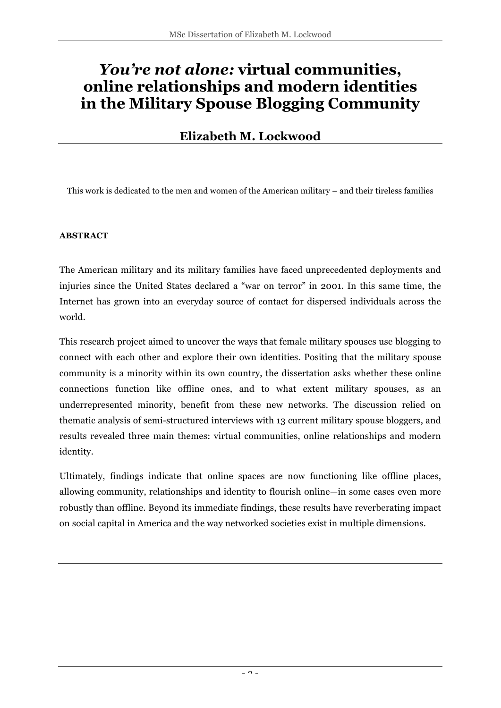# *You're not alone:* **virtual communities, online relationships and modern identities in the Military Spouse Blogging Community**

## **Elizabeth M. Lockwood**

This work is dedicated to the men and women of the American military – and their tireless families

#### **ABSTRACT**

The American military and its military families have faced unprecedented deployments and injuries since the United States declared a "war on terror" in 2001. In this same time, the Internet has grown into an everyday source of contact for dispersed individuals across the world.

This research project aimed to uncover the ways that female military spouses use blogging to connect with each other and explore their own identities. Positing that the military spouse community is a minority within its own country, the dissertation asks whether these online connections function like offline ones, and to what extent military spouses, as an underrepresented minority, benefit from these new networks. The discussion relied on thematic analysis of semi-structured interviews with 13 current military spouse bloggers, and results revealed three main themes: virtual communities, online relationships and modern identity.

Ultimately, findings indicate that online spaces are now functioning like offline places, allowing community, relationships and identity to flourish online—in some cases even more robustly than offline. Beyond its immediate findings, these results have reverberating impact on social capital in America and the way networked societies exist in multiple dimensions.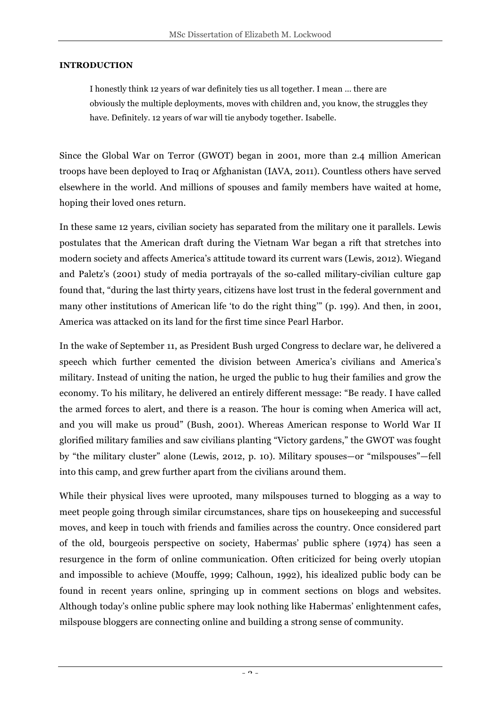#### **INTRODUCTION**

I honestly think 12 years of war definitely ties us all together. I mean … there are obviously the multiple deployments, moves with children and, you know, the struggles they have. Definitely. 12 years of war will tie anybody together. Isabelle.

Since the Global War on Terror (GWOT) began in 2001, more than 2.4 million American troops have been deployed to Iraq or Afghanistan (IAVA, 2011). Countless others have served elsewhere in the world. And millions of spouses and family members have waited at home, hoping their loved ones return.

In these same 12 years, civilian society has separated from the military one it parallels. Lewis postulates that the American draft during the Vietnam War began a rift that stretches into modern society and affects America's attitude toward its current wars (Lewis, 2012). Wiegand and Paletz's (2001) study of media portrayals of the so-called military-civilian culture gap found that, "during the last thirty years, citizens have lost trust in the federal government and many other institutions of American life 'to do the right thing'" (p. 199). And then, in 2001, America was attacked on its land for the first time since Pearl Harbor.

In the wake of September 11, as President Bush urged Congress to declare war, he delivered a speech which further cemented the division between America's civilians and America's military. Instead of uniting the nation, he urged the public to hug their families and grow the economy. To his military, he delivered an entirely different message: "Be ready. I have called the armed forces to alert, and there is a reason. The hour is coming when America will act, and you will make us proud" (Bush, 2001). Whereas American response to World War II glorified military families and saw civilians planting "Victory gardens," the GWOT was fought by "the military cluster" alone (Lewis, 2012, p. 10). Military spouses—or "milspouses"—fell into this camp, and grew further apart from the civilians around them.

While their physical lives were uprooted, many milspouses turned to blogging as a way to meet people going through similar circumstances, share tips on housekeeping and successful moves, and keep in touch with friends and families across the country. Once considered part of the old, bourgeois perspective on society, Habermas' public sphere (1974) has seen a resurgence in the form of online communication. Often criticized for being overly utopian and impossible to achieve (Mouffe, 1999; Calhoun, 1992), his idealized public body can be found in recent years online, springing up in comment sections on blogs and websites. Although today's online public sphere may look nothing like Habermas' enlightenment cafes, milspouse bloggers are connecting online and building a strong sense of community.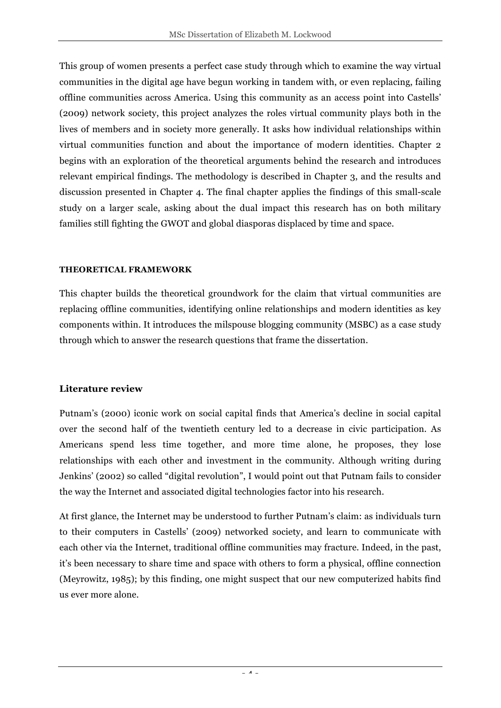This group of women presents a perfect case study through which to examine the way virtual communities in the digital age have begun working in tandem with, or even replacing, failing offline communities across America. Using this community as an access point into Castells' (2009) network society, this project analyzes the roles virtual community plays both in the lives of members and in society more generally. It asks how individual relationships within virtual communities function and about the importance of modern identities. Chapter 2 begins with an exploration of the theoretical arguments behind the research and introduces relevant empirical findings. The methodology is described in Chapter 3, and the results and discussion presented in Chapter 4. The final chapter applies the findings of this small-scale study on a larger scale, asking about the dual impact this research has on both military families still fighting the GWOT and global diasporas displaced by time and space.

#### **THEORETICAL FRAMEWORK**

This chapter builds the theoretical groundwork for the claim that virtual communities are replacing offline communities, identifying online relationships and modern identities as key components within. It introduces the milspouse blogging community (MSBC) as a case study through which to answer the research questions that frame the dissertation.

### **Literature review**

Putnam's (2000) iconic work on social capital finds that America's decline in social capital over the second half of the twentieth century led to a decrease in civic participation. As Americans spend less time together, and more time alone, he proposes, they lose relationships with each other and investment in the community. Although writing during Jenkins' (2002) so called "digital revolution", I would point out that Putnam fails to consider the way the Internet and associated digital technologies factor into his research.

At first glance, the Internet may be understood to further Putnam's claim: as individuals turn to their computers in Castells' (2009) networked society, and learn to communicate with each other via the Internet, traditional offline communities may fracture. Indeed, in the past, it's been necessary to share time and space with others to form a physical, offline connection (Meyrowitz, 1985); by this finding, one might suspect that our new computerized habits find us ever more alone.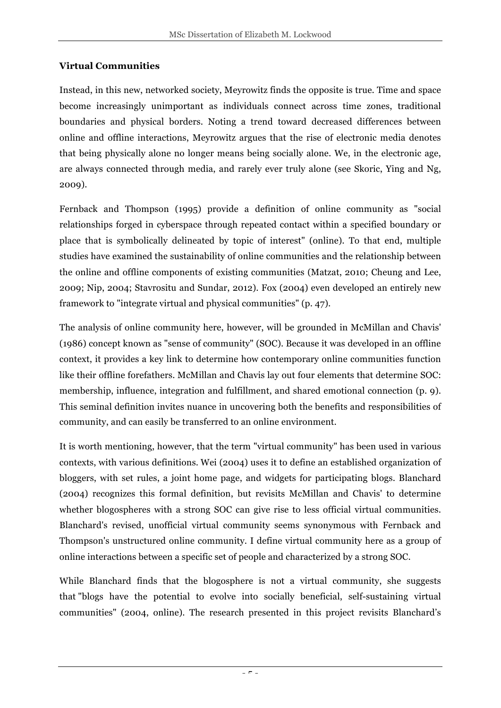### **Virtual Communities**

Instead, in this new, networked society, Meyrowitz finds the opposite is true. Time and space become increasingly unimportant as individuals connect across time zones, traditional boundaries and physical borders. Noting a trend toward decreased differences between online and offline interactions, Meyrowitz argues that the rise of electronic media denotes that being physically alone no longer means being socially alone. We, in the electronic age, are always connected through media, and rarely ever truly alone (see Skoric, Ying and Ng, 2009).

Fernback and Thompson (1995) provide a definition of online community as "social relationships forged in cyberspace through repeated contact within a specified boundary or place that is symbolically delineated by topic of interest" (online). To that end, multiple studies have examined the sustainability of online communities and the relationship between the online and offline components of existing communities (Matzat, 2010; Cheung and Lee, 2009; Nip, 2004; Stavrositu and Sundar, 2012). Fox (2004) even developed an entirely new framework to "integrate virtual and physical communities" (p. 47).

The analysis of online community here, however, will be grounded in McMillan and Chavis' (1986) concept known as "sense of community" (SOC). Because it was developed in an offline context, it provides a key link to determine how contemporary online communities function like their offline forefathers. McMillan and Chavis lay out four elements that determine SOC: membership, influence, integration and fulfillment, and shared emotional connection (p. 9). This seminal definition invites nuance in uncovering both the benefits and responsibilities of community, and can easily be transferred to an online environment.

It is worth mentioning, however, that the term "virtual community" has been used in various contexts, with various definitions. Wei (2004) uses it to define an established organization of bloggers, with set rules, a joint home page, and widgets for participating blogs. Blanchard (2004) recognizes this formal definition, but revisits McMillan and Chavis' to determine whether blogospheres with a strong SOC can give rise to less official virtual communities. Blanchard's revised, unofficial virtual community seems synonymous with Fernback and Thompson's unstructured online community. I define virtual community here as a group of online interactions between a specific set of people and characterized by a strong SOC.

While Blanchard finds that the blogosphere is not a virtual community, she suggests that "blogs have the potential to evolve into socially beneficial, self-sustaining virtual communities" (2004, online). The research presented in this project revisits Blanchard's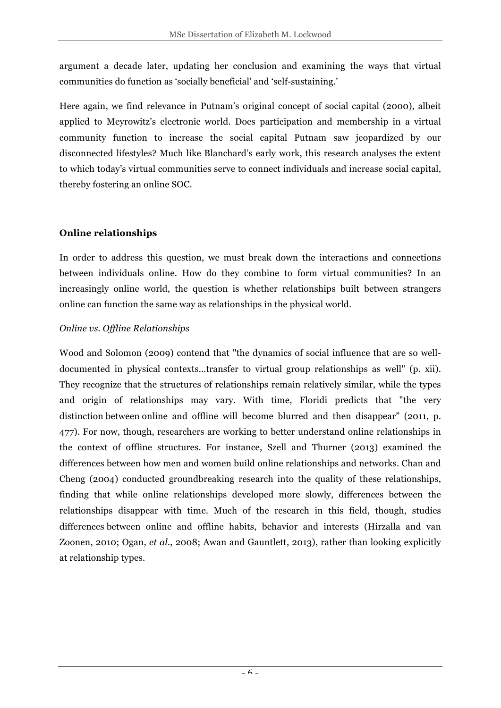argument a decade later, updating her conclusion and examining the ways that virtual communities do function as 'socially beneficial' and 'self-sustaining.'

Here again, we find relevance in Putnam's original concept of social capital (2000), albeit applied to Meyrowitz's electronic world. Does participation and membership in a virtual community function to increase the social capital Putnam saw jeopardized by our disconnected lifestyles? Much like Blanchard's early work, this research analyses the extent to which today's virtual communities serve to connect individuals and increase social capital, thereby fostering an online SOC.

### **Online relationships**

In order to address this question, we must break down the interactions and connections between individuals online. How do they combine to form virtual communities? In an increasingly online world, the question is whether relationships built between strangers online can function the same way as relationships in the physical world.

### *Online vs. Offline Relationships*

Wood and Solomon (2009) contend that "the dynamics of social influence that are so welldocumented in physical contexts…transfer to virtual group relationships as well" (p. xii). They recognize that the structures of relationships remain relatively similar, while the types and origin of relationships may vary. With time, Floridi predicts that "the very distinction between online and offline will become blurred and then disappear" (2011, p. 477). For now, though, researchers are working to better understand online relationships in the context of offline structures. For instance, Szell and Thurner (2013) examined the differences between how men and women build online relationships and networks. Chan and Cheng (2004) conducted groundbreaking research into the quality of these relationships, finding that while online relationships developed more slowly, differences between the relationships disappear with time. Much of the research in this field, though, studies differences between online and offline habits, behavior and interests (Hirzalla and van Zoonen, 2010; Ogan, *et al.*, 2008; Awan and Gauntlett, 2013), rather than looking explicitly at relationship types.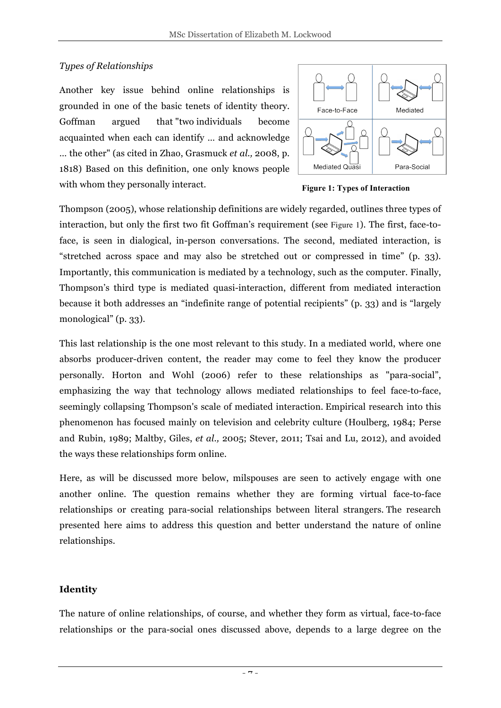### *Types of Relationships*

Another key issue behind online relationships is grounded in one of the basic tenets of identity theory. Goffman argued that "two individuals become acquainted when each can identify … and acknowledge … the other" (as cited in Zhao, Grasmuck *et al.,* 2008, p. 1818) Based on this definition, one only knows people with whom they personally interact.



**Figure 1: Types of Interaction**

Thompson (2005), whose relationship definitions are widely regarded, outlines three types of interaction, but only the first two fit Goffman's requirement (see Figure 1). The first, face-toface, is seen in dialogical, in-person conversations. The second, mediated interaction, is "stretched across space and may also be stretched out or compressed in time" (p. 33). Importantly, this communication is mediated by a technology, such as the computer. Finally, Thompson's third type is mediated quasi-interaction, different from mediated interaction because it both addresses an "indefinite range of potential recipients" (p. 33) and is "largely monological" (p. 33).

This last relationship is the one most relevant to this study. In a mediated world, where one absorbs producer-driven content, the reader may come to feel they know the producer personally. Horton and Wohl (2006) refer to these relationships as "para-social", emphasizing the way that technology allows mediated relationships to feel face-to-face, seemingly collapsing Thompson's scale of mediated interaction. Empirical research into this phenomenon has focused mainly on television and celebrity culture (Houlberg, 1984; Perse and Rubin, 1989; Maltby, Giles, *et al.,* 2005; Stever, 2011; Tsai and Lu, 2012), and avoided the ways these relationships form online.

Here, as will be discussed more below, milspouses are seen to actively engage with one another online. The question remains whether they are forming virtual face-to-face relationships or creating para-social relationships between literal strangers. The research presented here aims to address this question and better understand the nature of online relationships.

### **Identity**

The nature of online relationships, of course, and whether they form as virtual, face-to-face relationships or the para-social ones discussed above, depends to a large degree on the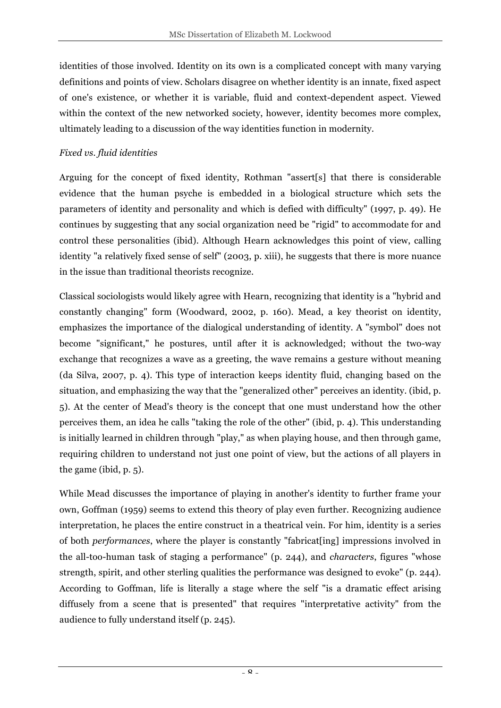identities of those involved. Identity on its own is a complicated concept with many varying definitions and points of view. Scholars disagree on whether identity is an innate, fixed aspect of one's existence, or whether it is variable, fluid and context-dependent aspect. Viewed within the context of the new networked society, however, identity becomes more complex, ultimately leading to a discussion of the way identities function in modernity.

### *Fixed vs. fluid identities*

Arguing for the concept of fixed identity, Rothman "assert[s] that there is considerable evidence that the human psyche is embedded in a biological structure which sets the parameters of identity and personality and which is defied with difficulty" (1997, p. 49). He continues by suggesting that any social organization need be "rigid" to accommodate for and control these personalities (ibid). Although Hearn acknowledges this point of view, calling identity "a relatively fixed sense of self" (2003, p. xiii), he suggests that there is more nuance in the issue than traditional theorists recognize.

Classical sociologists would likely agree with Hearn, recognizing that identity is a "hybrid and constantly changing" form (Woodward, 2002, p. 160). Mead, a key theorist on identity, emphasizes the importance of the dialogical understanding of identity. A "symbol" does not become "significant," he postures, until after it is acknowledged; without the two-way exchange that recognizes a wave as a greeting, the wave remains a gesture without meaning (da Silva, 2007, p. 4). This type of interaction keeps identity fluid, changing based on the situation, and emphasizing the way that the "generalized other" perceives an identity. (ibid, p. 5). At the center of Mead's theory is the concept that one must understand how the other perceives them, an idea he calls "taking the role of the other" (ibid, p. 4). This understanding is initially learned in children through "play," as when playing house, and then through game, requiring children to understand not just one point of view, but the actions of all players in the game (ibid, p. 5).

While Mead discusses the importance of playing in another's identity to further frame your own, Goffman (1959) seems to extend this theory of play even further. Recognizing audience interpretation, he places the entire construct in a theatrical vein. For him, identity is a series of both *performances*, where the player is constantly "fabricat[ing] impressions involved in the all-too-human task of staging a performance" (p. 244), and *characters*, figures "whose strength, spirit, and other sterling qualities the performance was designed to evoke" (p. 244). According to Goffman, life is literally a stage where the self "is a dramatic effect arising diffusely from a scene that is presented" that requires "interpretative activity" from the audience to fully understand itself (p. 245).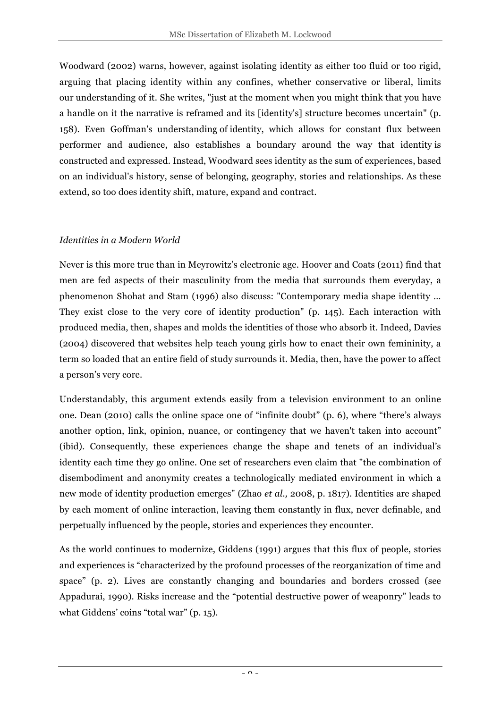Woodward (2002) warns, however, against isolating identity as either too fluid or too rigid, arguing that placing identity within any confines, whether conservative or liberal, limits our understanding of it. She writes, "just at the moment when you might think that you have a handle on it the narrative is reframed and its [identity's] structure becomes uncertain" (p. 158). Even Goffman's understanding of identity, which allows for constant flux between performer and audience, also establishes a boundary around the way that identity is constructed and expressed. Instead, Woodward sees identity as the sum of experiences, based on an individual's history, sense of belonging, geography, stories and relationships. As these extend, so too does identity shift, mature, expand and contract.

### *Identities in a Modern World*

Never is this more true than in Meyrowitz's electronic age. Hoover and Coats (2011) find that men are fed aspects of their masculinity from the media that surrounds them everyday, a phenomenon Shohat and Stam (1996) also discuss: "Contemporary media shape identity … They exist close to the very core of identity production" (p. 145). Each interaction with produced media, then, shapes and molds the identities of those who absorb it. Indeed, Davies (2004) discovered that websites help teach young girls how to enact their own femininity, a term so loaded that an entire field of study surrounds it. Media, then, have the power to affect a person's very core.

Understandably, this argument extends easily from a television environment to an online one. Dean (2010) calls the online space one of "infinite doubt" (p. 6), where "there's always another option, link, opinion, nuance, or contingency that we haven't taken into account" (ibid). Consequently, these experiences change the shape and tenets of an individual's identity each time they go online. One set of researchers even claim that "the combination of disembodiment and anonymity creates a technologically mediated environment in which a new mode of identity production emerges" (Zhao *et al.,* 2008, p. 1817). Identities are shaped by each moment of online interaction, leaving them constantly in flux, never definable, and perpetually influenced by the people, stories and experiences they encounter.

As the world continues to modernize, Giddens (1991) argues that this flux of people, stories and experiences is "characterized by the profound processes of the reorganization of time and space" (p. 2). Lives are constantly changing and boundaries and borders crossed (see Appadurai, 1990). Risks increase and the "potential destructive power of weaponry" leads to what Giddens' coins "total war" (p. 15).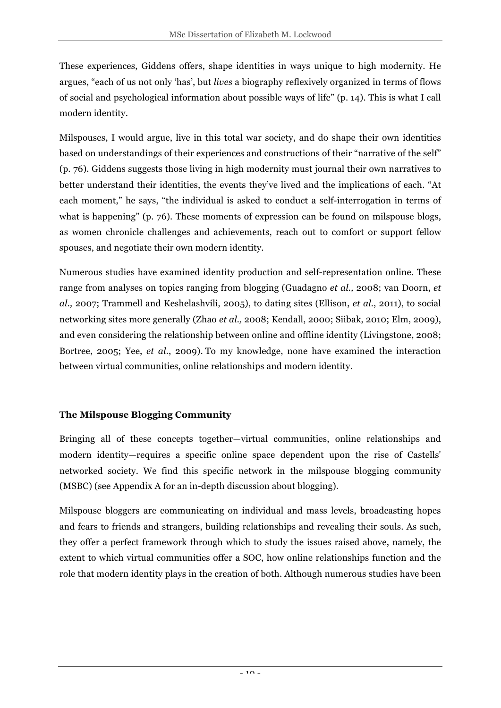These experiences, Giddens offers, shape identities in ways unique to high modernity. He argues, "each of us not only 'has', but *lives* a biography reflexively organized in terms of flows of social and psychological information about possible ways of life" (p. 14). This is what I call modern identity.

Milspouses, I would argue, live in this total war society, and do shape their own identities based on understandings of their experiences and constructions of their "narrative of the self" (p. 76). Giddens suggests those living in high modernity must journal their own narratives to better understand their identities, the events they've lived and the implications of each. "At each moment," he says, "the individual is asked to conduct a self-interrogation in terms of what is happening" (p. 76). These moments of expression can be found on milspouse blogs, as women chronicle challenges and achievements, reach out to comfort or support fellow spouses, and negotiate their own modern identity.

Numerous studies have examined identity production and self-representation online. These range from analyses on topics ranging from blogging (Guadagno *et al.,* 2008; van Doorn, *et al.,* 2007; Trammell and Keshelashvili, 2005), to dating sites (Ellison, *et al.*, 2011), to social networking sites more generally (Zhao *et al.,* 2008; Kendall, 2000; Siibak, 2010; Elm, 2009), and even considering the relationship between online and offline identity (Livingstone, 2008; Bortree, 2005; Yee, *et al.*, 2009). To my knowledge, none have examined the interaction between virtual communities, online relationships and modern identity.

### **The Milspouse Blogging Community**

Bringing all of these concepts together—virtual communities, online relationships and modern identity—requires a specific online space dependent upon the rise of Castells' networked society. We find this specific network in the milspouse blogging community (MSBC) (see Appendix A for an in-depth discussion about blogging).

Milspouse bloggers are communicating on individual and mass levels, broadcasting hopes and fears to friends and strangers, building relationships and revealing their souls. As such, they offer a perfect framework through which to study the issues raised above, namely, the extent to which virtual communities offer a SOC, how online relationships function and the role that modern identity plays in the creation of both. Although numerous studies have been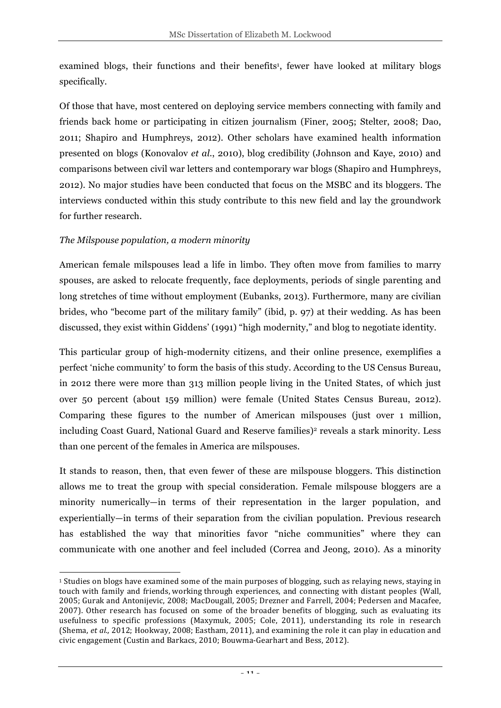examined blogs, their functions and their benefits<sup>1</sup>, fewer have looked at military blogs specifically.

Of those that have, most centered on deploying service members connecting with family and friends back home or participating in citizen journalism (Finer, 2005; Stelter, 2008; Dao, 2011; Shapiro and Humphreys, 2012). Other scholars have examined health information presented on blogs (Konovalov *et al.*, 2010), blog credibility (Johnson and Kaye, 2010) and comparisons between civil war letters and contemporary war blogs (Shapiro and Humphreys, 2012). No major studies have been conducted that focus on the MSBC and its bloggers. The interviews conducted within this study contribute to this new field and lay the groundwork for further research.

### *The Milspouse population, a modern minority*

American female milspouses lead a life in limbo. They often move from families to marry spouses, are asked to relocate frequently, face deployments, periods of single parenting and long stretches of time without employment (Eubanks, 2013). Furthermore, many are civilian brides, who "become part of the military family" (ibid, p. 97) at their wedding. As has been discussed, they exist within Giddens' (1991) "high modernity," and blog to negotiate identity.

This particular group of high-modernity citizens, and their online presence, exemplifies a perfect 'niche community' to form the basis of this study. According to the US Census Bureau, in 2012 there were more than 313 million people living in the United States, of which just over 50 percent (about 159 million) were female (United States Census Bureau, 2012). Comparing these figures to the number of American milspouses (just over 1 million, including Coast Guard, National Guard and Reserve families)<sup>2</sup> reveals a stark minority. Less than one percent of the females in America are milspouses.

It stands to reason, then, that even fewer of these are milspouse bloggers. This distinction allows me to treat the group with special consideration. Female milspouse bloggers are a minority numerically—in terms of their representation in the larger population, and experientially—in terms of their separation from the civilian population. Previous research has established the way that minorities favor "niche communities" where they can communicate with one another and feel included (Correa and Jeong, 2010). As a minority

 $\overline{a}$  $1$  Studies on blogs have examined some of the main purposes of blogging, such as relaying news, staying in touch with family and friends, working through experiences, and connecting with distant peoples (Wall, 2005; Gurak and Antonijevic, 2008; MacDougall, 2005; Drezner and Farrell, 2004; Pedersen and Macafee, 2007). Other research has focused on some of the broader benefits of blogging, such as evaluating its usefulness to specific professions (Maxymuk, 2005; Cole, 2011), understanding its role in research (Shema, *et al.*, 2012; Hookway, 2008; Eastham, 2011), and examining the role it can play in education and civic engagement (Custin and Barkacs, 2010; Bouwma-Gearhart and Bess, 2012).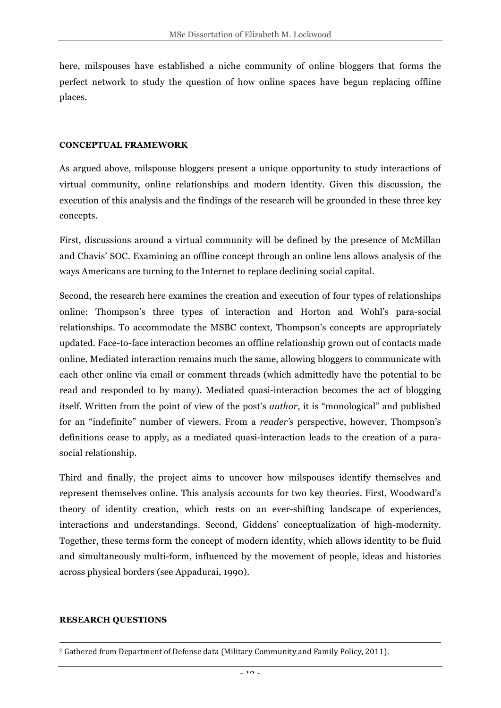here, milspouses have established a niche community of online bloggers that forms the perfect network to study the question of how online spaces have begun replacing offline places.

#### **CONCEPTUAL FRAMEWORK**

As argued above, milspouse bloggers present a unique opportunity to study interactions of virtual community, online relationships and modern identity. Given this discussion, the execution of this analysis and the findings of the research will be grounded in these three key concepts.

First, discussions around a virtual community will be defined by the presence of McMillan and Chavis' SOC. Examining an offline concept through an online lens allows analysis of the ways Americans are turning to the Internet to replace declining social capital.

Second, the research here examines the creation and execution of four types of relationships online: Thompson's three types of interaction and Horton and Wohl's para-social relationships. To accommodate the MSBC context, Thompson's concepts are appropriately updated. Face-to-face interaction becomes an offline relationship grown out of contacts made online. Mediated interaction remains much the same, allowing bloggers to communicate with each other online via email or comment threads (which admittedly have the potential to be read and responded to by many). Mediated quasi-interaction becomes the act of blogging itself. Written from the point of view of the post's *author*, it is "monological" and published for an "indefinite" number of viewers. From a *reader's* perspective, however, Thompson's definitions cease to apply, as a mediated quasi-interaction leads to the creation of a parasocial relationship.

Third and finally, the project aims to uncover how milspouses identify themselves and represent themselves online. This analysis accounts for two key theories. First, Woodward's theory of identity creation, which rests on an ever-shifting landscape of experiences, interactions and understandings. Second, Giddens' conceptualization of high-modernity. Together, these terms form the concept of modern identity, which allows identity to be fluid and simultaneously multi-form, influenced by the movement of people, ideas and histories across physical borders (see Appadurai, 1990).

#### **RESEARCH QUESTIONS**

 $\overline{a}$ 

 $2$  Gathered from Department of Defense data (Military Community and Family Policy, 2011).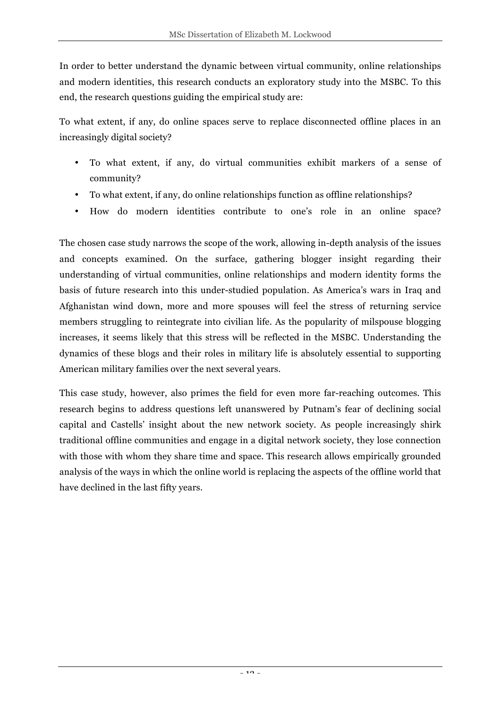In order to better understand the dynamic between virtual community, online relationships and modern identities, this research conducts an exploratory study into the MSBC. To this end, the research questions guiding the empirical study are:

To what extent, if any, do online spaces serve to replace disconnected offline places in an increasingly digital society?

- To what extent, if any, do virtual communities exhibit markers of a sense of community?
- To what extent, if any, do online relationships function as offline relationships?
- How do modern identities contribute to one's role in an online space?

The chosen case study narrows the scope of the work, allowing in-depth analysis of the issues and concepts examined. On the surface, gathering blogger insight regarding their understanding of virtual communities, online relationships and modern identity forms the basis of future research into this under-studied population. As America's wars in Iraq and Afghanistan wind down, more and more spouses will feel the stress of returning service members struggling to reintegrate into civilian life. As the popularity of milspouse blogging increases, it seems likely that this stress will be reflected in the MSBC. Understanding the dynamics of these blogs and their roles in military life is absolutely essential to supporting American military families over the next several years.

This case study, however, also primes the field for even more far-reaching outcomes. This research begins to address questions left unanswered by Putnam's fear of declining social capital and Castells' insight about the new network society. As people increasingly shirk traditional offline communities and engage in a digital network society, they lose connection with those with whom they share time and space. This research allows empirically grounded analysis of the ways in which the online world is replacing the aspects of the offline world that have declined in the last fifty years.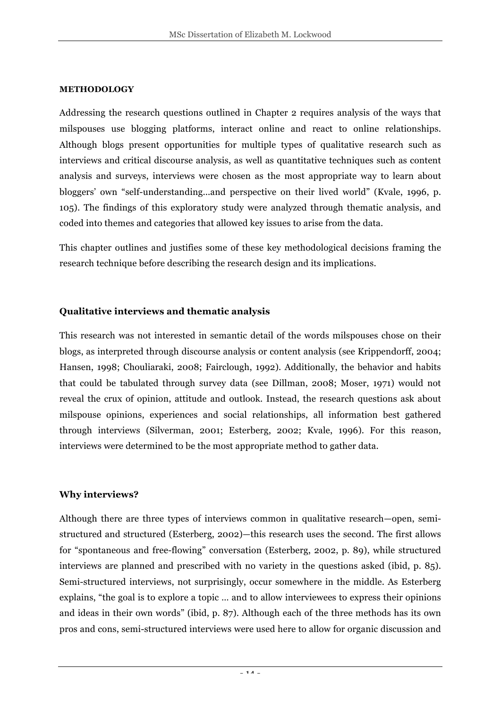#### **METHODOLOGY**

Addressing the research questions outlined in Chapter 2 requires analysis of the ways that milspouses use blogging platforms, interact online and react to online relationships. Although blogs present opportunities for multiple types of qualitative research such as interviews and critical discourse analysis, as well as quantitative techniques such as content analysis and surveys, interviews were chosen as the most appropriate way to learn about bloggers' own "self-understanding...and perspective on their lived world" (Kvale, 1996, p. 105). The findings of this exploratory study were analyzed through thematic analysis, and coded into themes and categories that allowed key issues to arise from the data.

This chapter outlines and justifies some of these key methodological decisions framing the research technique before describing the research design and its implications.

#### **Qualitative interviews and thematic analysis**

This research was not interested in semantic detail of the words milspouses chose on their blogs, as interpreted through discourse analysis or content analysis (see Krippendorff, 2004; Hansen, 1998; Chouliaraki, 2008; Fairclough, 1992). Additionally, the behavior and habits that could be tabulated through survey data (see Dillman, 2008; Moser, 1971) would not reveal the crux of opinion, attitude and outlook. Instead, the research questions ask about milspouse opinions, experiences and social relationships, all information best gathered through interviews (Silverman, 2001; Esterberg, 2002; Kvale, 1996). For this reason, interviews were determined to be the most appropriate method to gather data.

#### **Why interviews?**

Although there are three types of interviews common in qualitative research—open, semistructured and structured (Esterberg, 2002)—this research uses the second. The first allows for "spontaneous and free-flowing" conversation (Esterberg, 2002, p. 89), while structured interviews are planned and prescribed with no variety in the questions asked (ibid, p. 85). Semi-structured interviews, not surprisingly, occur somewhere in the middle. As Esterberg explains, "the goal is to explore a topic … and to allow interviewees to express their opinions and ideas in their own words" (ibid, p. 87). Although each of the three methods has its own pros and cons, semi-structured interviews were used here to allow for organic discussion and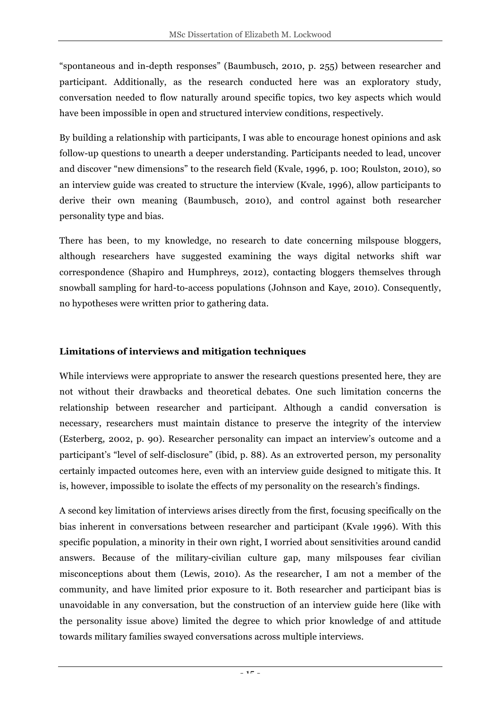"spontaneous and in-depth responses" (Baumbusch, 2010, p. 255) between researcher and participant. Additionally, as the research conducted here was an exploratory study, conversation needed to flow naturally around specific topics, two key aspects which would have been impossible in open and structured interview conditions, respectively.

By building a relationship with participants, I was able to encourage honest opinions and ask follow-up questions to unearth a deeper understanding. Participants needed to lead, uncover and discover "new dimensions" to the research field (Kvale, 1996, p. 100; Roulston, 2010), so an interview guide was created to structure the interview (Kvale, 1996), allow participants to derive their own meaning (Baumbusch, 2010), and control against both researcher personality type and bias.

There has been, to my knowledge, no research to date concerning milspouse bloggers, although researchers have suggested examining the ways digital networks shift war correspondence (Shapiro and Humphreys, 2012), contacting bloggers themselves through snowball sampling for hard-to-access populations (Johnson and Kaye, 2010). Consequently, no hypotheses were written prior to gathering data.

### **Limitations of interviews and mitigation techniques**

While interviews were appropriate to answer the research questions presented here, they are not without their drawbacks and theoretical debates. One such limitation concerns the relationship between researcher and participant. Although a candid conversation is necessary, researchers must maintain distance to preserve the integrity of the interview (Esterberg, 2002, p. 90). Researcher personality can impact an interview's outcome and a participant's "level of self-disclosure" (ibid, p. 88). As an extroverted person, my personality certainly impacted outcomes here, even with an interview guide designed to mitigate this. It is, however, impossible to isolate the effects of my personality on the research's findings.

A second key limitation of interviews arises directly from the first, focusing specifically on the bias inherent in conversations between researcher and participant (Kvale 1996). With this specific population, a minority in their own right, I worried about sensitivities around candid answers. Because of the military-civilian culture gap, many milspouses fear civilian misconceptions about them (Lewis, 2010). As the researcher, I am not a member of the community, and have limited prior exposure to it. Both researcher and participant bias is unavoidable in any conversation, but the construction of an interview guide here (like with the personality issue above) limited the degree to which prior knowledge of and attitude towards military families swayed conversations across multiple interviews.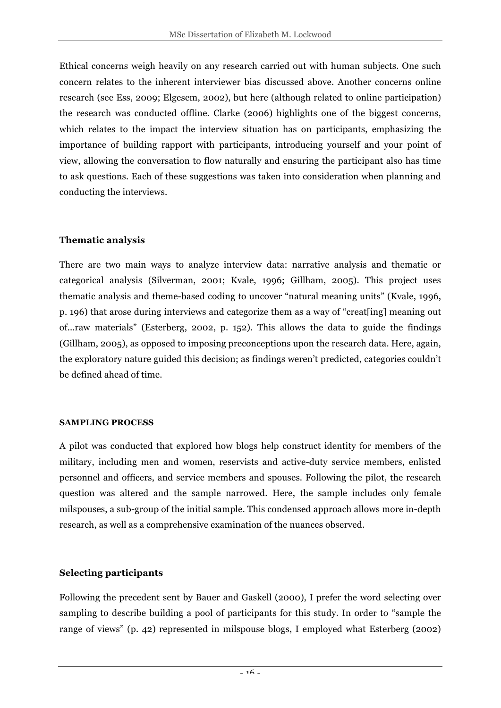Ethical concerns weigh heavily on any research carried out with human subjects. One such concern relates to the inherent interviewer bias discussed above. Another concerns online research (see Ess, 2009; Elgesem, 2002), but here (although related to online participation) the research was conducted offline. Clarke (2006) highlights one of the biggest concerns, which relates to the impact the interview situation has on participants, emphasizing the importance of building rapport with participants, introducing yourself and your point of view, allowing the conversation to flow naturally and ensuring the participant also has time to ask questions. Each of these suggestions was taken into consideration when planning and conducting the interviews.

### **Thematic analysis**

There are two main ways to analyze interview data: narrative analysis and thematic or categorical analysis (Silverman, 2001; Kvale, 1996; Gillham, 2005). This project uses thematic analysis and theme-based coding to uncover "natural meaning units" (Kvale, 1996, p. 196) that arose during interviews and categorize them as a way of "creat[ing] meaning out of...raw materials" (Esterberg, 2002, p. 152). This allows the data to guide the findings (Gillham, 2005), as opposed to imposing preconceptions upon the research data. Here, again, the exploratory nature guided this decision; as findings weren't predicted, categories couldn't be defined ahead of time.

### **SAMPLING PROCESS**

A pilot was conducted that explored how blogs help construct identity for members of the military, including men and women, reservists and active-duty service members, enlisted personnel and officers, and service members and spouses. Following the pilot, the research question was altered and the sample narrowed. Here, the sample includes only female milspouses, a sub-group of the initial sample. This condensed approach allows more in-depth research, as well as a comprehensive examination of the nuances observed.

### **Selecting participants**

Following the precedent sent by Bauer and Gaskell (2000), I prefer the word selecting over sampling to describe building a pool of participants for this study. In order to "sample the range of views" (p. 42) represented in milspouse blogs, I employed what Esterberg (2002)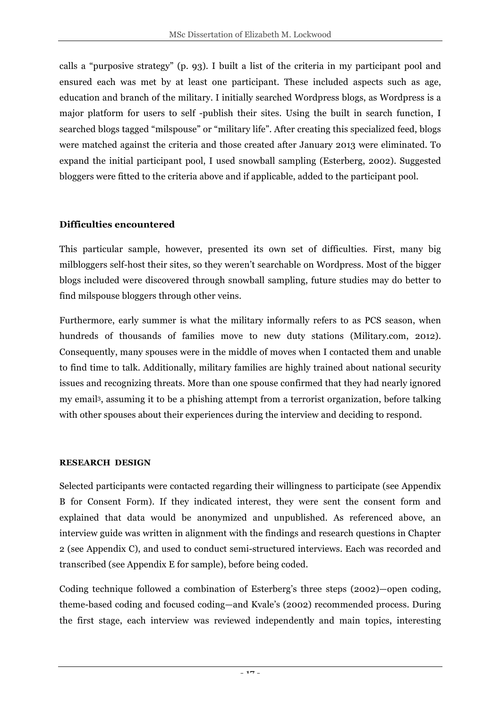calls a "purposive strategy" (p. 93). I built a list of the criteria in my participant pool and ensured each was met by at least one participant. These included aspects such as age, education and branch of the military. I initially searched Wordpress blogs, as Wordpress is a major platform for users to self -publish their sites. Using the built in search function, I searched blogs tagged "milspouse" or "military life". After creating this specialized feed, blogs were matched against the criteria and those created after January 2013 were eliminated. To expand the initial participant pool, I used snowball sampling (Esterberg, 2002). Suggested bloggers were fitted to the criteria above and if applicable, added to the participant pool.

### **Difficulties encountered**

This particular sample, however, presented its own set of difficulties. First, many big milbloggers self-host their sites, so they weren't searchable on Wordpress. Most of the bigger blogs included were discovered through snowball sampling, future studies may do better to find milspouse bloggers through other veins.

Furthermore, early summer is what the military informally refers to as PCS season, when hundreds of thousands of families move to new duty stations (Military.com, 2012). Consequently, many spouses were in the middle of moves when I contacted them and unable to find time to talk. Additionally, military families are highly trained about national security issues and recognizing threats. More than one spouse confirmed that they had nearly ignored my email3, assuming it to be a phishing attempt from a terrorist organization, before talking with other spouses about their experiences during the interview and deciding to respond.

### **RESEARCH DESIGN**

Selected participants were contacted regarding their willingness to participate (see Appendix B for Consent Form). If they indicated interest, they were sent the consent form and explained that data would be anonymized and unpublished. As referenced above, an interview guide was written in alignment with the findings and research questions in Chapter 2 (see Appendix C), and used to conduct semi-structured interviews. Each was recorded and transcribed (see Appendix E for sample), before being coded.

Coding technique followed a combination of Esterberg's three steps (2002)—open coding, theme-based coding and focused coding—and Kvale's (2002) recommended process. During the first stage, each interview was reviewed independently and main topics, interesting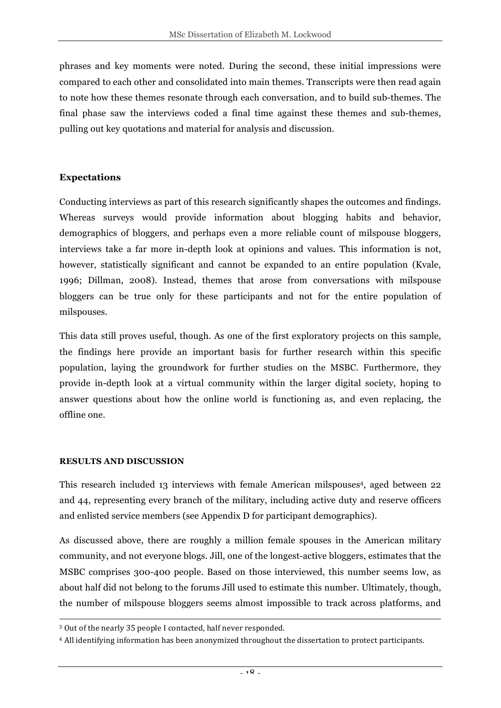phrases and key moments were noted. During the second, these initial impressions were compared to each other and consolidated into main themes. Transcripts were then read again to note how these themes resonate through each conversation, and to build sub-themes. The final phase saw the interviews coded a final time against these themes and sub-themes, pulling out key quotations and material for analysis and discussion.

#### **Expectations**

Conducting interviews as part of this research significantly shapes the outcomes and findings. Whereas surveys would provide information about blogging habits and behavior, demographics of bloggers, and perhaps even a more reliable count of milspouse bloggers, interviews take a far more in-depth look at opinions and values. This information is not, however, statistically significant and cannot be expanded to an entire population (Kvale, 1996; Dillman, 2008). Instead, themes that arose from conversations with milspouse bloggers can be true only for these participants and not for the entire population of milspouses.

This data still proves useful, though. As one of the first exploratory projects on this sample, the findings here provide an important basis for further research within this specific population, laying the groundwork for further studies on the MSBC. Furthermore, they provide in-depth look at a virtual community within the larger digital society, hoping to answer questions about how the online world is functioning as, and even replacing, the offline one.

#### **RESULTS AND DISCUSSION**

 $\overline{a}$ 

This research included 13 interviews with female American milspouses4, aged between 22 and 44, representing every branch of the military, including active duty and reserve officers and enlisted service members (see Appendix D for participant demographics).

As discussed above, there are roughly a million female spouses in the American military community, and not everyone blogs. Jill, one of the longest-active bloggers, estimates that the MSBC comprises 300-400 people. Based on those interviewed, this number seems low, as about half did not belong to the forums Jill used to estimate this number. Ultimately, though, the number of milspouse bloggers seems almost impossible to track across platforms, and

<sup>&</sup>lt;sup>3</sup> Out of the nearly 35 people I contacted, half never responded.

<sup>&</sup>lt;sup>4</sup> All identifying information has been anonymized throughout the dissertation to protect participants.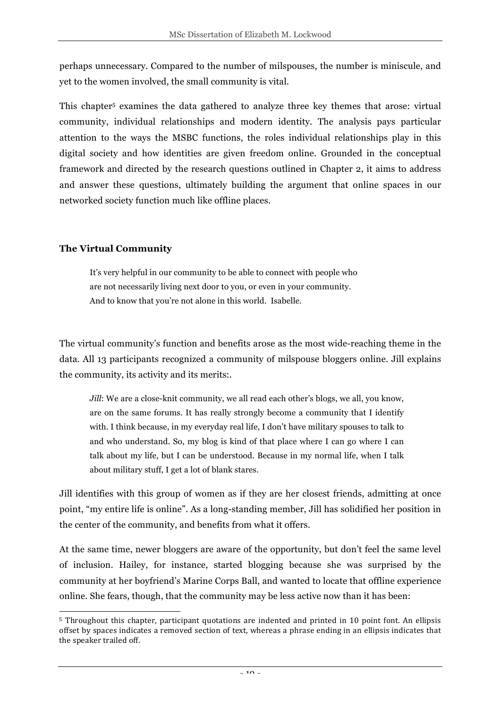perhaps unnecessary. Compared to the number of milspouses, the number is miniscule, and yet to the women involved, the small community is vital.

This chapter<sup>5</sup> examines the data gathered to analyze three key themes that arose: virtual community, individual relationships and modern identity. The analysis pays particular attention to the ways the MSBC functions, the roles individual relationships play in this digital society and how identities are given freedom online. Grounded in the conceptual framework and directed by the research questions outlined in Chapter 2, it aims to address and answer these questions, ultimately building the argument that online spaces in our networked society function much like offline places.

### **The Virtual Community**

It's very helpful in our community to be able to connect with people who are not necessarily living next door to you, or even in your community. And to know that you're not alone in this world. Isabelle.

The virtual community's function and benefits arose as the most wide-reaching theme in the data. All 13 participants recognized a community of milspouse bloggers online. Jill explains the community, its activity and its merits:.

*Jill*: We are a close-knit community, we all read each other's blogs, we all, you know, are on the same forums. It has really strongly become a community that I identify with. I think because, in my everyday real life, I don't have military spouses to talk to and who understand. So, my blog is kind of that place where I can go where I can talk about my life, but I can be understood. Because in my normal life, when I talk about military stuff, I get a lot of blank stares.

Jill identifies with this group of women as if they are her closest friends, admitting at once point, "my entire life is online". As a long-standing member, Jill has solidified her position in the center of the community, and benefits from what it offers.

At the same time, newer bloggers are aware of the opportunity, but don't feel the same level of inclusion. Hailey, for instance, started blogging because she was surprised by the community at her boyfriend's Marine Corps Ball, and wanted to locate that offline experience online. She fears, though, that the community may be less active now than it has been:

 $\overline{a}$  $5$  Throughout this chapter, participant quotations are indented and printed in 10 point font. An ellipsis offset by spaces indicates a removed section of text, whereas a phrase ending in an ellipsis indicates that the speaker trailed off.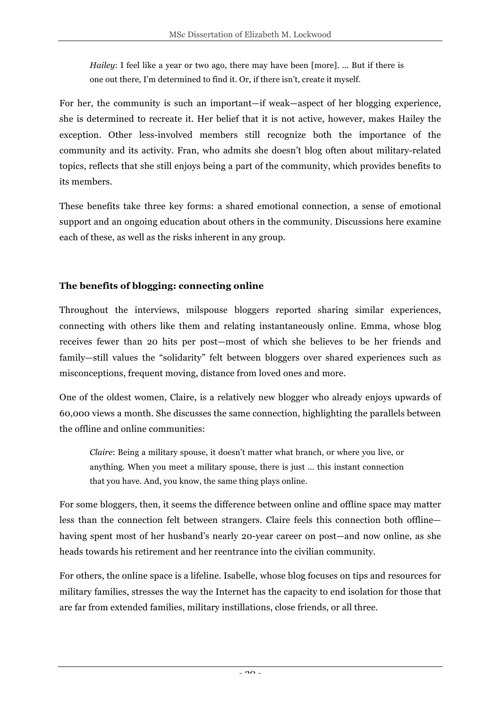*Hailey*: I feel like a year or two ago, there may have been [more]. ... But if there is one out there, I'm determined to find it. Or, if there isn't, create it myself.

For her, the community is such an important—if weak—aspect of her blogging experience, she is determined to recreate it. Her belief that it is not active, however, makes Hailey the exception. Other less-involved members still recognize both the importance of the community and its activity. Fran, who admits she doesn't blog often about military-related topics, reflects that she still enjoys being a part of the community, which provides benefits to its members.

These benefits take three key forms: a shared emotional connection, a sense of emotional support and an ongoing education about others in the community. Discussions here examine each of these, as well as the risks inherent in any group.

### **The benefits of blogging: connecting online**

Throughout the interviews, milspouse bloggers reported sharing similar experiences, connecting with others like them and relating instantaneously online. Emma, whose blog receives fewer than 20 hits per post—most of which she believes to be her friends and family—still values the "solidarity" felt between bloggers over shared experiences such as misconceptions, frequent moving, distance from loved ones and more.

One of the oldest women, Claire, is a relatively new blogger who already enjoys upwards of 60,000 views a month. She discusses the same connection, highlighting the parallels between the offline and online communities:

*Claire*: Being a military spouse, it doesn't matter what branch, or where you live, or anything. When you meet a military spouse, there is just … this instant connection that you have. And, you know, the same thing plays online.

For some bloggers, then, it seems the difference between online and offline space may matter less than the connection felt between strangers. Claire feels this connection both offline having spent most of her husband's nearly 20-year career on post—and now online, as she heads towards his retirement and her reentrance into the civilian community.

For others, the online space is a lifeline. Isabelle, whose blog focuses on tips and resources for military families, stresses the way the Internet has the capacity to end isolation for those that are far from extended families, military instillations, close friends, or all three.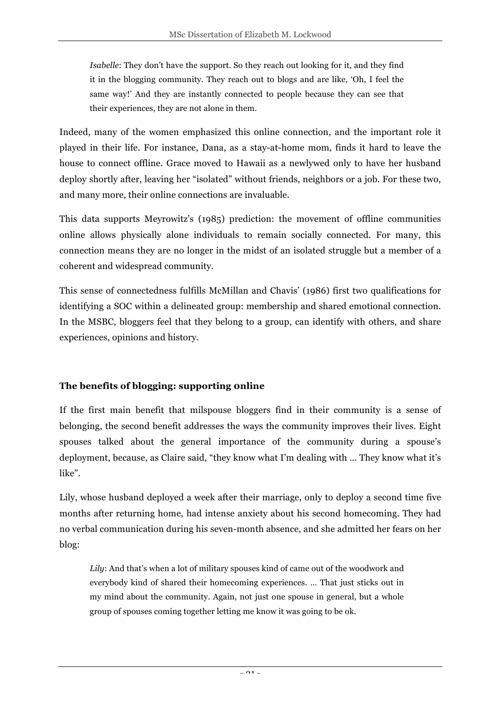*Isabelle*: They don't have the support. So they reach out looking for it, and they find it in the blogging community. They reach out to blogs and are like, 'Oh, I feel the same way!' And they are instantly connected to people because they can see that their experiences, they are not alone in them.

Indeed, many of the women emphasized this online connection, and the important role it played in their life. For instance, Dana, as a stay-at-home mom, finds it hard to leave the house to connect offline. Grace moved to Hawaii as a newlywed only to have her husband deploy shortly after, leaving her "isolated" without friends, neighbors or a job. For these two, and many more, their online connections are invaluable.

This data supports Meyrowitz's (1985) prediction: the movement of offline communities online allows physically alone individuals to remain socially connected. For many, this connection means they are no longer in the midst of an isolated struggle but a member of a coherent and widespread community.

This sense of connectedness fulfills McMillan and Chavis' (1986) first two qualifications for identifying a SOC within a delineated group: membership and shared emotional connection. In the MSBC, bloggers feel that they belong to a group, can identify with others, and share experiences, opinions and history.

### **The benefits of blogging: supporting 0nline**

If the first main benefit that milspouse bloggers find in their community is a sense of belonging, the second benefit addresses the ways the community improves their lives. Eight spouses talked about the general importance of the community during a spouse's deployment, because, as Claire said, "they know what I'm dealing with … They know what it's like".

Lily, whose husband deployed a week after their marriage, only to deploy a second time five months after returning home, had intense anxiety about his second homecoming. They had no verbal communication during his seven-month absence, and she admitted her fears on her blog:

*Lily*: And that's when a lot of military spouses kind of came out of the woodwork and everybody kind of shared their homecoming experiences. … That just sticks out in my mind about the community. Again, not just one spouse in general, but a whole group of spouses coming together letting me know it was going to be ok.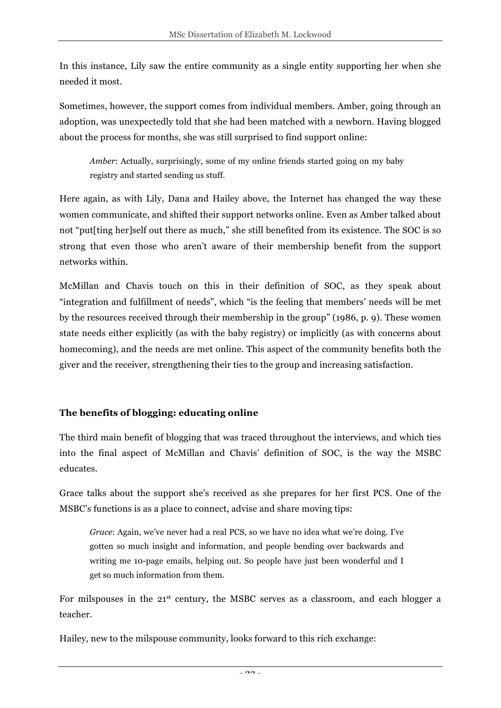In this instance, Lily saw the entire community as a single entity supporting her when she needed it most.

Sometimes, however, the support comes from individual members. Amber, going through an adoption, was unexpectedly told that she had been matched with a newborn. Having blogged about the process for months, she was still surprised to find support online:

*Amber*: Actually, surprisingly, some of my online friends started going on my baby registry and started sending us stuff.

Here again, as with Lily, Dana and Hailey above, the Internet has changed the way these women communicate, and shifted their support networks online. Even as Amber talked about not "put[ting her]self out there as much," she still benefited from its existence. The SOC is so strong that even those who aren't aware of their membership benefit from the support networks within.

McMillan and Chavis touch on this in their definition of SOC, as they speak about "integration and fulfillment of needs", which "is the feeling that members' needs will be met by the resources received through their membership in the group" (1986, p. 9). These women state needs either explicitly (as with the baby registry) or implicitly (as with concerns about homecoming), and the needs are met online. This aspect of the community benefits both the giver and the receiver, strengthening their ties to the group and increasing satisfaction.

### **The benefits of blogging: educating online**

The third main benefit of blogging that was traced throughout the interviews, and which ties into the final aspect of McMillan and Chavis' definition of SOC, is the way the MSBC educates.

Grace talks about the support she's received as she prepares for her first PCS. One of the MSBC's functions is as a place to connect, advise and share moving tips:

*Grace*: Again, we've never had a real PCS, so we have no idea what we're doing. I've gotten so much insight and information, and people bending over backwards and writing me 10-page emails, helping out. So people have just been wonderful and I get so much information from them.

For milspouses in the 21st century, the MSBC serves as a classroom, and each blogger a teacher.

Hailey, new to the milspouse community, looks forward to this rich exchange: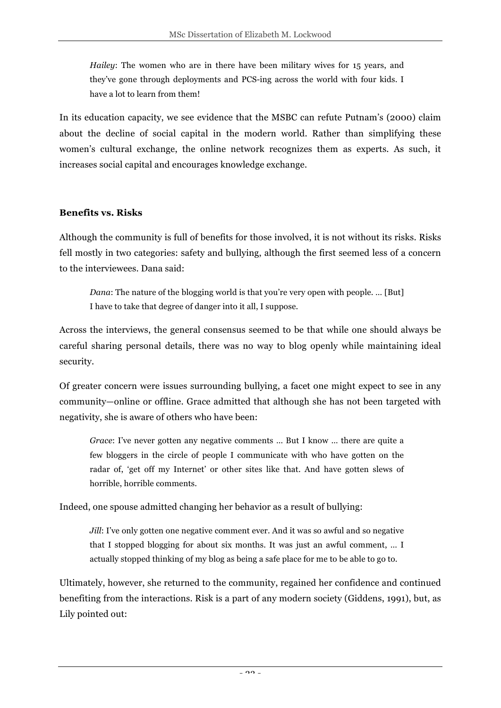*Hailey*: The women who are in there have been military wives for 15 years, and they've gone through deployments and PCS-ing across the world with four kids. I have a lot to learn from them!

In its education capacity, we see evidence that the MSBC can refute Putnam's (2000) claim about the decline of social capital in the modern world. Rather than simplifying these women's cultural exchange, the online network recognizes them as experts. As such, it increases social capital and encourages knowledge exchange.

### **Benefits vs. Risks**

Although the community is full of benefits for those involved, it is not without its risks. Risks fell mostly in two categories: safety and bullying, although the first seemed less of a concern to the interviewees. Dana said:

*Dana*: The nature of the blogging world is that you're very open with people. ... [But] I have to take that degree of danger into it all, I suppose.

Across the interviews, the general consensus seemed to be that while one should always be careful sharing personal details, there was no way to blog openly while maintaining ideal security.

Of greater concern were issues surrounding bullying, a facet one might expect to see in any community—online or offline. Grace admitted that although she has not been targeted with negativity, she is aware of others who have been:

*Grace*: I've never gotten any negative comments … But I know … there are quite a few bloggers in the circle of people I communicate with who have gotten on the radar of, 'get off my Internet' or other sites like that. And have gotten slews of horrible, horrible comments.

Indeed, one spouse admitted changing her behavior as a result of bullying:

*Jill*: I've only gotten one negative comment ever. And it was so awful and so negative that I stopped blogging for about six months. It was just an awful comment, … I actually stopped thinking of my blog as being a safe place for me to be able to go to.

Ultimately, however, she returned to the community, regained her confidence and continued benefiting from the interactions. Risk is a part of any modern society (Giddens, 1991), but, as Lily pointed out: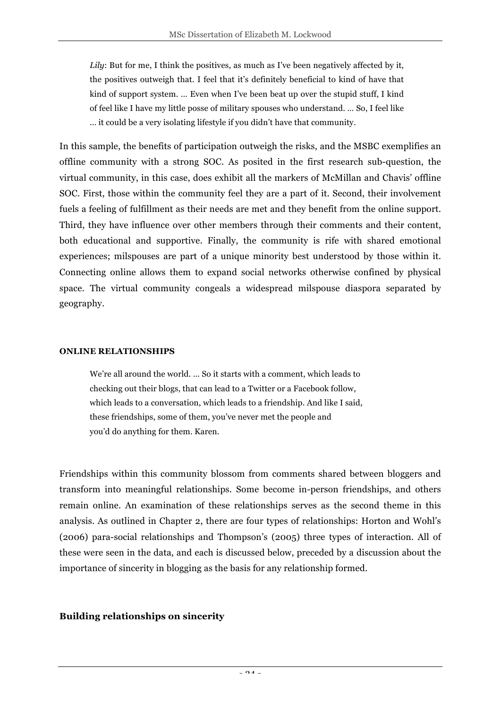*Lily*: But for me, I think the positives, as much as I've been negatively affected by it, the positives outweigh that. I feel that it's definitely beneficial to kind of have that kind of support system. … Even when I've been beat up over the stupid stuff, I kind of feel like I have my little posse of military spouses who understand. … So, I feel like … it could be a very isolating lifestyle if you didn't have that community.

In this sample, the benefits of participation outweigh the risks, and the MSBC exemplifies an offline community with a strong SOC. As posited in the first research sub-question, the virtual community, in this case, does exhibit all the markers of McMillan and Chavis' offline SOC. First, those within the community feel they are a part of it. Second, their involvement fuels a feeling of fulfillment as their needs are met and they benefit from the online support. Third, they have influence over other members through their comments and their content, both educational and supportive. Finally, the community is rife with shared emotional experiences; milspouses are part of a unique minority best understood by those within it. Connecting online allows them to expand social networks otherwise confined by physical space. The virtual community congeals a widespread milspouse diaspora separated by geography.

#### **ONLINE RELATIONSHIPS**

We're all around the world. … So it starts with a comment, which leads to checking out their blogs, that can lead to a Twitter or a Facebook follow, which leads to a conversation, which leads to a friendship. And like I said, these friendships, some of them, you've never met the people and you'd do anything for them. Karen.

Friendships within this community blossom from comments shared between bloggers and transform into meaningful relationships. Some become in-person friendships, and others remain online. An examination of these relationships serves as the second theme in this analysis. As outlined in Chapter 2, there are four types of relationships: Horton and Wohl's (2006) para-social relationships and Thompson's (2005) three types of interaction. All of these were seen in the data, and each is discussed below, preceded by a discussion about the importance of sincerity in blogging as the basis for any relationship formed.

### **Building relationships on sincerity**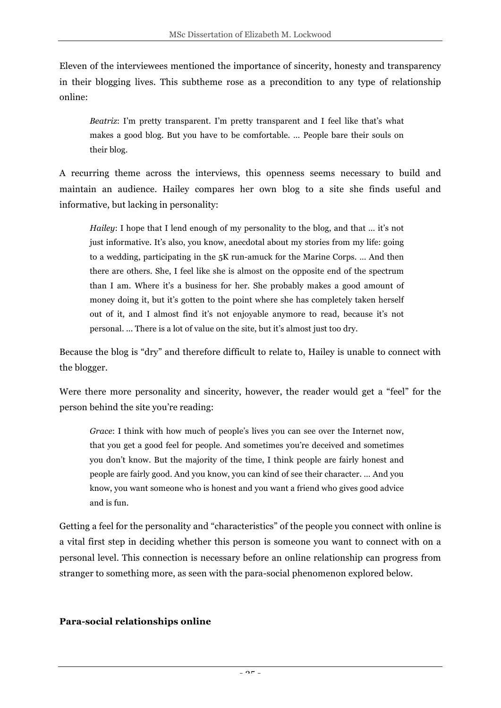Eleven of the interviewees mentioned the importance of sincerity, honesty and transparency in their blogging lives. This subtheme rose as a precondition to any type of relationship online:

*Beatriz*: I'm pretty transparent. I'm pretty transparent and I feel like that's what makes a good blog. But you have to be comfortable. … People bare their souls on their blog.

A recurring theme across the interviews, this openness seems necessary to build and maintain an audience. Hailey compares her own blog to a site she finds useful and informative, but lacking in personality:

*Hailey*: I hope that I lend enough of my personality to the blog, and that ... it's not just informative. It's also, you know, anecdotal about my stories from my life: going to a wedding, participating in the 5K run-amuck for the Marine Corps. … And then there are others. She, I feel like she is almost on the opposite end of the spectrum than I am. Where it's a business for her. She probably makes a good amount of money doing it, but it's gotten to the point where she has completely taken herself out of it, and I almost find it's not enjoyable anymore to read, because it's not personal. ... There is a lot of value on the site, but it's almost just too dry.

Because the blog is "dry" and therefore difficult to relate to, Hailey is unable to connect with the blogger.

Were there more personality and sincerity, however, the reader would get a "feel" for the person behind the site you're reading:

*Grace*: I think with how much of people's lives you can see over the Internet now, that you get a good feel for people. And sometimes you're deceived and sometimes you don't know. But the majority of the time, I think people are fairly honest and people are fairly good. And you know, you can kind of see their character. … And you know, you want someone who is honest and you want a friend who gives good advice and is fun.

Getting a feel for the personality and "characteristics" of the people you connect with online is a vital first step in deciding whether this person is someone you want to connect with on a personal level. This connection is necessary before an online relationship can progress from stranger to something more, as seen with the para-social phenomenon explored below.

### **Para-social relationships online**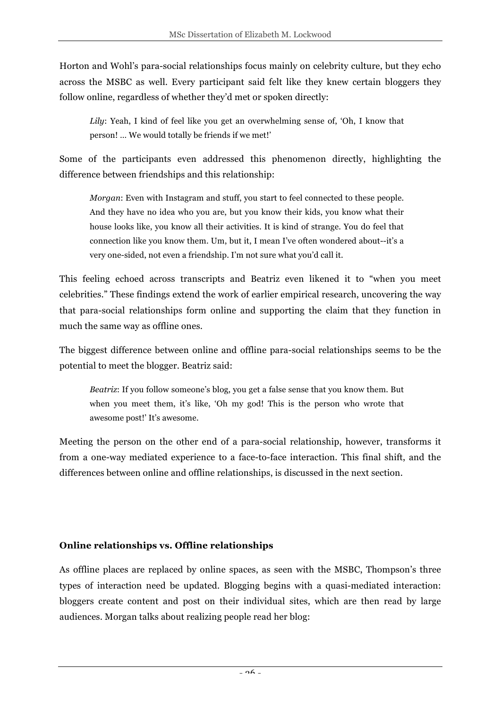Horton and Wohl's para-social relationships focus mainly on celebrity culture, but they echo across the MSBC as well. Every participant said felt like they knew certain bloggers they follow online, regardless of whether they'd met or spoken directly:

*Lily*: Yeah, I kind of feel like you get an overwhelming sense of, 'Oh, I know that person! … We would totally be friends if we met!'

Some of the participants even addressed this phenomenon directly, highlighting the difference between friendships and this relationship:

*Morgan*: Even with Instagram and stuff, you start to feel connected to these people. And they have no idea who you are, but you know their kids, you know what their house looks like, you know all their activities. It is kind of strange. You do feel that connection like you know them. Um, but it, I mean I've often wondered about--it's a very one-sided, not even a friendship. I'm not sure what you'd call it.

This feeling echoed across transcripts and Beatriz even likened it to "when you meet celebrities." These findings extend the work of earlier empirical research, uncovering the way that para-social relationships form online and supporting the claim that they function in much the same way as offline ones.

The biggest difference between online and offline para-social relationships seems to be the potential to meet the blogger. Beatriz said:

*Beatriz*: If you follow someone's blog, you get a false sense that you know them. But when you meet them, it's like, 'Oh my god! This is the person who wrote that awesome post!' It's awesome.

Meeting the person on the other end of a para-social relationship, however, transforms it from a one-way mediated experience to a face-to-face interaction. This final shift, and the differences between online and offline relationships, is discussed in the next section.

### **Online relationships vs. Offline relationships**

As offline places are replaced by online spaces, as seen with the MSBC, Thompson's three types of interaction need be updated. Blogging begins with a quasi-mediated interaction: bloggers create content and post on their individual sites, which are then read by large audiences. Morgan talks about realizing people read her blog: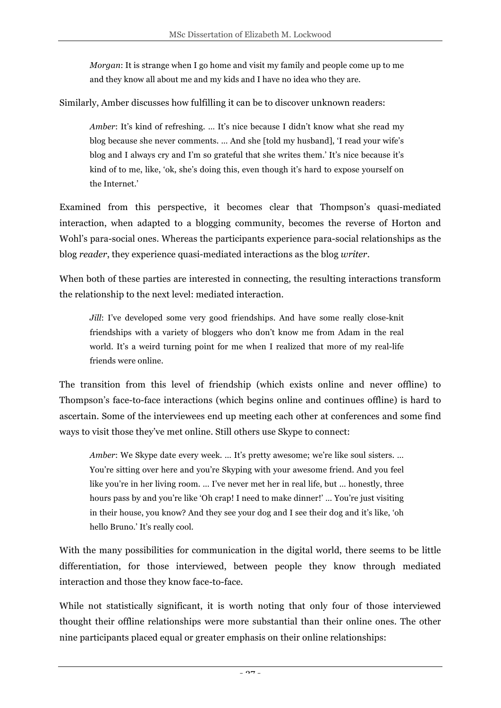*Morgan*: It is strange when I go home and visit my family and people come up to me and they know all about me and my kids and I have no idea who they are.

Similarly, Amber discusses how fulfilling it can be to discover unknown readers:

*Amber*: It's kind of refreshing. ... It's nice because I didn't know what she read my blog because she never comments. … And she [told my husband], 'I read your wife's blog and I always cry and I'm so grateful that she writes them.' It's nice because it's kind of to me, like, 'ok, she's doing this, even though it's hard to expose yourself on the Internet.'

Examined from this perspective, it becomes clear that Thompson's quasi-mediated interaction, when adapted to a blogging community, becomes the reverse of Horton and Wohl's para-social ones. Whereas the participants experience para-social relationships as the blog *reader*, they experience quasi-mediated interactions as the blog *writer*.

When both of these parties are interested in connecting, the resulting interactions transform the relationship to the next level: mediated interaction.

*Jill*: I've developed some very good friendships. And have some really close-knit friendships with a variety of bloggers who don't know me from Adam in the real world. It's a weird turning point for me when I realized that more of my real-life friends were online.

The transition from this level of friendship (which exists online and never offline) to Thompson's face-to-face interactions (which begins online and continues offline) is hard to ascertain. Some of the interviewees end up meeting each other at conferences and some find ways to visit those they've met online. Still others use Skype to connect:

*Amber*: We Skype date every week. … It's pretty awesome; we're like soul sisters. … You're sitting over here and you're Skyping with your awesome friend. And you feel like you're in her living room. … I've never met her in real life, but … honestly, three hours pass by and you're like 'Oh crap! I need to make dinner!' … You're just visiting in their house, you know? And they see your dog and I see their dog and it's like, 'oh hello Bruno.' It's really cool.

With the many possibilities for communication in the digital world, there seems to be little differentiation, for those interviewed, between people they know through mediated interaction and those they know face-to-face.

While not statistically significant, it is worth noting that only four of those interviewed thought their offline relationships were more substantial than their online ones. The other nine participants placed equal or greater emphasis on their online relationships: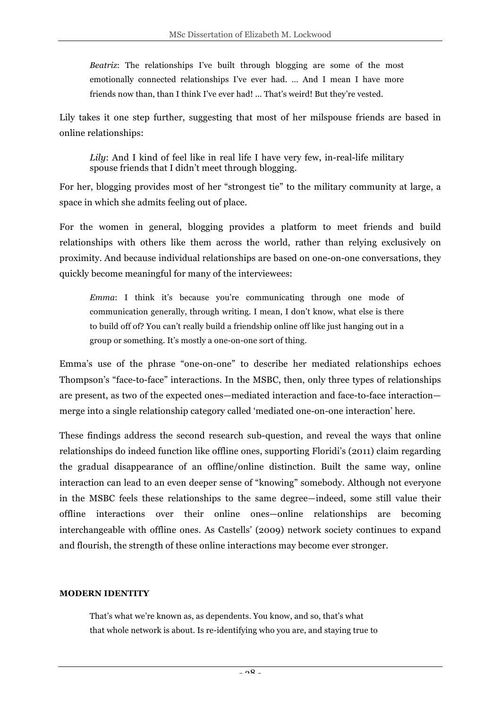*Beatriz*: The relationships I've built through blogging are some of the most emotionally connected relationships I've ever had. … And I mean I have more friends now than, than I think I've ever had! ... That's weird! But they're vested.

Lily takes it one step further, suggesting that most of her milspouse friends are based in online relationships:

*Lily*: And I kind of feel like in real life I have very few, in-real-life military spouse friends that I didn't meet through blogging.

For her, blogging provides most of her "strongest tie" to the military community at large, a space in which she admits feeling out of place.

For the women in general, blogging provides a platform to meet friends and build relationships with others like them across the world, rather than relying exclusively on proximity. And because individual relationships are based on one-on-one conversations, they quickly become meaningful for many of the interviewees:

*Emma*: I think it's because you're communicating through one mode of communication generally, through writing. I mean, I don't know, what else is there to build off of? You can't really build a friendship online off like just hanging out in a group or something. It's mostly a one-on-one sort of thing.

Emma's use of the phrase "one-on-one" to describe her mediated relationships echoes Thompson's "face-to-face" interactions. In the MSBC, then, only three types of relationships are present, as two of the expected ones—mediated interaction and face-to-face interaction merge into a single relationship category called 'mediated one-on-one interaction' here.

These findings address the second research sub-question, and reveal the ways that online relationships do indeed function like offline ones, supporting Floridi's (2011) claim regarding the gradual disappearance of an offline/online distinction. Built the same way, online interaction can lead to an even deeper sense of "knowing" somebody. Although not everyone in the MSBC feels these relationships to the same degree—indeed, some still value their offline interactions over their online ones—online relationships are becoming interchangeable with offline ones. As Castells' (2009) network society continues to expand and flourish, the strength of these online interactions may become ever stronger.

#### **MODERN IDENTITY**

That's what we're known as, as dependents. You know, and so, that's what that whole network is about. Is re-identifying who you are, and staying true to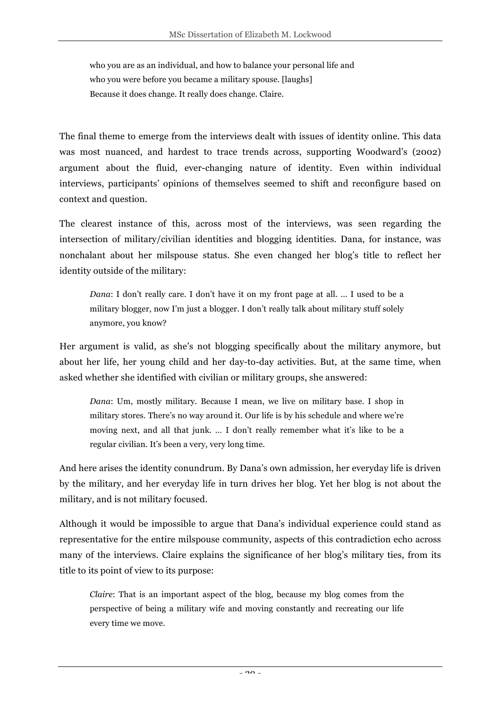who you are as an individual, and how to balance your personal life and who you were before you became a military spouse. [laughs] Because it does change. It really does change. Claire.

The final theme to emerge from the interviews dealt with issues of identity online. This data was most nuanced, and hardest to trace trends across, supporting Woodward's (2002) argument about the fluid, ever-changing nature of identity. Even within individual interviews, participants' opinions of themselves seemed to shift and reconfigure based on context and question.

The clearest instance of this, across most of the interviews, was seen regarding the intersection of military/civilian identities and blogging identities. Dana, for instance, was nonchalant about her milspouse status. She even changed her blog's title to reflect her identity outside of the military:

*Dana*: I don't really care. I don't have it on my front page at all. … I used to be a military blogger, now I'm just a blogger. I don't really talk about military stuff solely anymore, you know?

Her argument is valid, as she's not blogging specifically about the military anymore, but about her life, her young child and her day-to-day activities. But, at the same time, when asked whether she identified with civilian or military groups, she answered:

*Dana*: Um, mostly military. Because I mean, we live on military base. I shop in military stores. There's no way around it. Our life is by his schedule and where we're moving next, and all that junk. … I don't really remember what it's like to be a regular civilian. It's been a very, very long time.

And here arises the identity conundrum. By Dana's own admission, her everyday life is driven by the military, and her everyday life in turn drives her blog. Yet her blog is not about the military, and is not military focused.

Although it would be impossible to argue that Dana's individual experience could stand as representative for the entire milspouse community, aspects of this contradiction echo across many of the interviews. Claire explains the significance of her blog's military ties, from its title to its point of view to its purpose:

*Claire*: That is an important aspect of the blog, because my blog comes from the perspective of being a military wife and moving constantly and recreating our life every time we move.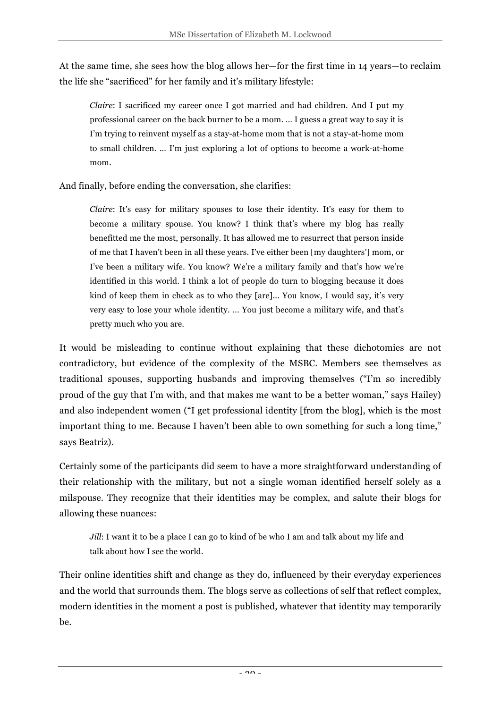At the same time, she sees how the blog allows her—for the first time in 14 years—to reclaim the life she "sacrificed" for her family and it's military lifestyle:

*Claire*: I sacrificed my career once I got married and had children. And I put my professional career on the back burner to be a mom. … I guess a great way to say it is I'm trying to reinvent myself as a stay-at-home mom that is not a stay-at-home mom to small children. … I'm just exploring a lot of options to become a work-at-home mom.

And finally, before ending the conversation, she clarifies:

*Claire*: It's easy for military spouses to lose their identity. It's easy for them to become a military spouse. You know? I think that's where my blog has really benefitted me the most, personally. It has allowed me to resurrect that person inside of me that I haven't been in all these years. I've either been [my daughters'] mom, or I've been a military wife. You know? We're a military family and that's how we're identified in this world. I think a lot of people do turn to blogging because it does kind of keep them in check as to who they [are]... You know, I would say, it's very very easy to lose your whole identity. … You just become a military wife, and that's pretty much who you are.

It would be misleading to continue without explaining that these dichotomies are not contradictory, but evidence of the complexity of the MSBC. Members see themselves as traditional spouses, supporting husbands and improving themselves ("I'm so incredibly proud of the guy that I'm with, and that makes me want to be a better woman," says Hailey) and also independent women ("I get professional identity [from the blog], which is the most important thing to me. Because I haven't been able to own something for such a long time," says Beatriz).

Certainly some of the participants did seem to have a more straightforward understanding of their relationship with the military, but not a single woman identified herself solely as a milspouse. They recognize that their identities may be complex, and salute their blogs for allowing these nuances:

*Jill*: I want it to be a place I can go to kind of be who I am and talk about my life and talk about how I see the world.

Their online identities shift and change as they do, influenced by their everyday experiences and the world that surrounds them. The blogs serve as collections of self that reflect complex, modern identities in the moment a post is published, whatever that identity may temporarily be.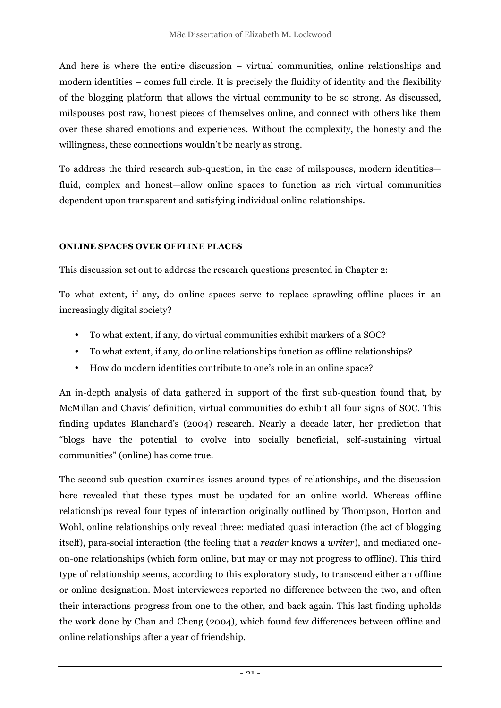And here is where the entire discussion – virtual communities, online relationships and modern identities – comes full circle. It is precisely the fluidity of identity and the flexibility of the blogging platform that allows the virtual community to be so strong. As discussed, milspouses post raw, honest pieces of themselves online, and connect with others like them over these shared emotions and experiences. Without the complexity, the honesty and the willingness, these connections wouldn't be nearly as strong.

To address the third research sub-question, in the case of milspouses, modern identities fluid, complex and honest—allow online spaces to function as rich virtual communities dependent upon transparent and satisfying individual online relationships.

#### **ONLINE SPACES OVER OFFLINE PLACES**

This discussion set out to address the research questions presented in Chapter 2:

To what extent, if any, do online spaces serve to replace sprawling offline places in an increasingly digital society?

- To what extent, if any, do virtual communities exhibit markers of a SOC?
- To what extent, if any, do online relationships function as offline relationships?
- How do modern identities contribute to one's role in an online space?

An in-depth analysis of data gathered in support of the first sub-question found that, by McMillan and Chavis' definition, virtual communities do exhibit all four signs of SOC. This finding updates Blanchard's (2004) research. Nearly a decade later, her prediction that "blogs have the potential to evolve into socially beneficial, self-sustaining virtual communities" (online) has come true.

The second sub-question examines issues around types of relationships, and the discussion here revealed that these types must be updated for an online world. Whereas offline relationships reveal four types of interaction originally outlined by Thompson, Horton and Wohl, online relationships only reveal three: mediated quasi interaction (the act of blogging itself), para-social interaction (the feeling that a *reader* knows a *writer*), and mediated oneon-one relationships (which form online, but may or may not progress to offline). This third type of relationship seems, according to this exploratory study, to transcend either an offline or online designation. Most interviewees reported no difference between the two, and often their interactions progress from one to the other, and back again. This last finding upholds the work done by Chan and Cheng (2004), which found few differences between offline and online relationships after a year of friendship.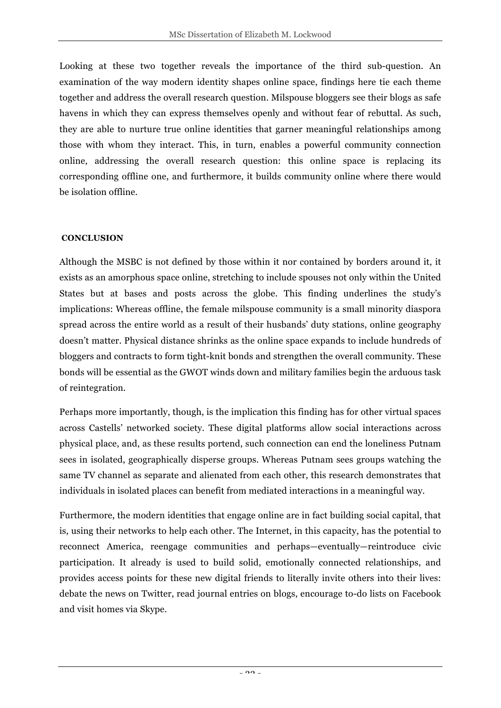Looking at these two together reveals the importance of the third sub-question. An examination of the way modern identity shapes online space, findings here tie each theme together and address the overall research question. Milspouse bloggers see their blogs as safe havens in which they can express themselves openly and without fear of rebuttal. As such, they are able to nurture true online identities that garner meaningful relationships among those with whom they interact. This, in turn, enables a powerful community connection online, addressing the overall research question: this online space is replacing its corresponding offline one, and furthermore, it builds community online where there would be isolation offline.

### **CONCLUSION**

Although the MSBC is not defined by those within it nor contained by borders around it, it exists as an amorphous space online, stretching to include spouses not only within the United States but at bases and posts across the globe. This finding underlines the study's implications: Whereas offline, the female milspouse community is a small minority diaspora spread across the entire world as a result of their husbands' duty stations, online geography doesn't matter. Physical distance shrinks as the online space expands to include hundreds of bloggers and contracts to form tight-knit bonds and strengthen the overall community. These bonds will be essential as the GWOT winds down and military families begin the arduous task of reintegration.

Perhaps more importantly, though, is the implication this finding has for other virtual spaces across Castells' networked society. These digital platforms allow social interactions across physical place, and, as these results portend, such connection can end the loneliness Putnam sees in isolated, geographically disperse groups. Whereas Putnam sees groups watching the same TV channel as separate and alienated from each other, this research demonstrates that individuals in isolated places can benefit from mediated interactions in a meaningful way.

Furthermore, the modern identities that engage online are in fact building social capital, that is, using their networks to help each other. The Internet, in this capacity, has the potential to reconnect America, reengage communities and perhaps—eventually—reintroduce civic participation. It already is used to build solid, emotionally connected relationships, and provides access points for these new digital friends to literally invite others into their lives: debate the news on Twitter, read journal entries on blogs, encourage to-do lists on Facebook and visit homes via Skype.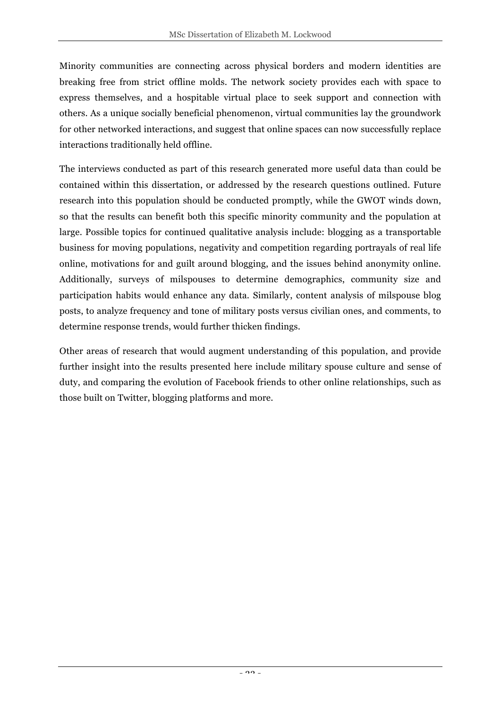Minority communities are connecting across physical borders and modern identities are breaking free from strict offline molds. The network society provides each with space to express themselves, and a hospitable virtual place to seek support and connection with others. As a unique socially beneficial phenomenon, virtual communities lay the groundwork for other networked interactions, and suggest that online spaces can now successfully replace interactions traditionally held offline.

The interviews conducted as part of this research generated more useful data than could be contained within this dissertation, or addressed by the research questions outlined. Future research into this population should be conducted promptly, while the GWOT winds down, so that the results can benefit both this specific minority community and the population at large. Possible topics for continued qualitative analysis include: blogging as a transportable business for moving populations, negativity and competition regarding portrayals of real life online, motivations for and guilt around blogging, and the issues behind anonymity online. Additionally, surveys of milspouses to determine demographics, community size and participation habits would enhance any data. Similarly, content analysis of milspouse blog posts, to analyze frequency and tone of military posts versus civilian ones, and comments, to determine response trends, would further thicken findings.

Other areas of research that would augment understanding of this population, and provide further insight into the results presented here include military spouse culture and sense of duty, and comparing the evolution of Facebook friends to other online relationships, such as those built on Twitter, blogging platforms and more.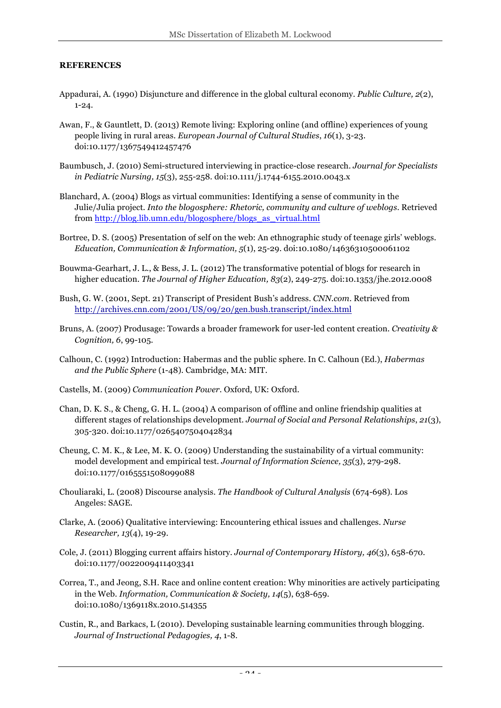#### **REFERENCES**

- Appadurai, A. (1990) Disjuncture and difference in the global cultural economy. *Public Culture, 2*(2), 1-24.
- Awan, F., & Gauntlett, D. (2013) Remote living: Exploring online (and offline) experiences of young people living in rural areas. *European Journal of Cultural Studies*, *16*(1), 3-23. doi:10.1177/1367549412457476
- Baumbusch, J. (2010) Semi-structured interviewing in practice-close research. *Journal for Specialists in Pediatric Nursing, 15*(3), 255-258. doi:10.1111/j.1744-6155.2010.0043.x
- Blanchard, A. (2004) Blogs as virtual communities: Identifying a sense of community in the Julie/Julia project. *Into the blogosphere: Rhetoric, community and culture of weblogs*. Retrieved from http://blog.lib.umn.edu/blogosphere/blogs\_as\_virtual.html
- Bortree, D. S. (2005) Presentation of self on the web: An ethnographic study of teenage girls' weblogs. *Education, Communication & Information, 5*(1), 25-29. doi:10.1080/14636310500061102
- Bouwma-Gearhart, J. L., & Bess, J. L. (2012) The transformative potential of blogs for research in higher education. *The Journal of Higher Education, 83*(2), 249-275. doi:10.1353/jhe.2012.0008
- Bush, G. W. (2001, Sept. 21) Transcript of President Bush's address. *CNN.com*. Retrieved from http://archives.cnn.com/2001/US/09/20/gen.bush.transcript/index.html
- Bruns, A. (2007) Produsage: Towards a broader framework for user-led content creation. *Creativity & Cognition, 6*, 99-105.
- Calhoun, C. (1992) Introduction: Habermas and the public sphere. In C. Calhoun (Ed.), *Habermas and the Public Sphere* (1-48). Cambridge, MA: MIT.
- Castells, M. (2009) *Communication Power*. Oxford, UK: Oxford.
- Chan, D. K. S., & Cheng, G. H. L. (2004) A comparison of offline and online friendship qualities at different stages of relationships development. *Journal of Social and Personal Relationships*, *21*(3), 305-320. doi:10.1177/0265407504042834
- Cheung, C. M. K., & Lee, M. K. O. (2009) Understanding the sustainability of a virtual community: model development and empirical test. *Journal of Information Science, 35*(3), 279-298. doi:10.1177/0165551508099088
- Chouliaraki, L. (2008) Discourse analysis. *The Handbook of Cultural Analysis* (674-698). Los Angeles: SAGE.
- Clarke, A. (2006) Qualitative interviewing: Encountering ethical issues and challenges. *Nurse Researcher, 13*(4), 19-29.
- Cole, J. (2011) Blogging current affairs history. *Journal of Contemporary History, 46*(3), 658-670. doi:10.1177/0022009411403341
- Correa, T., and Jeong, S.H. Race and online content creation: Why minorities are actively participating in the Web. *Information, Communication & Society, 14*(5), 638-659. doi:10.1080/1369118x.2010.514355
- Custin, R., and Barkacs, L (2010). Developing sustainable learning communities through blogging. *Journal of Instructional Pedagogies, 4*, 1-8.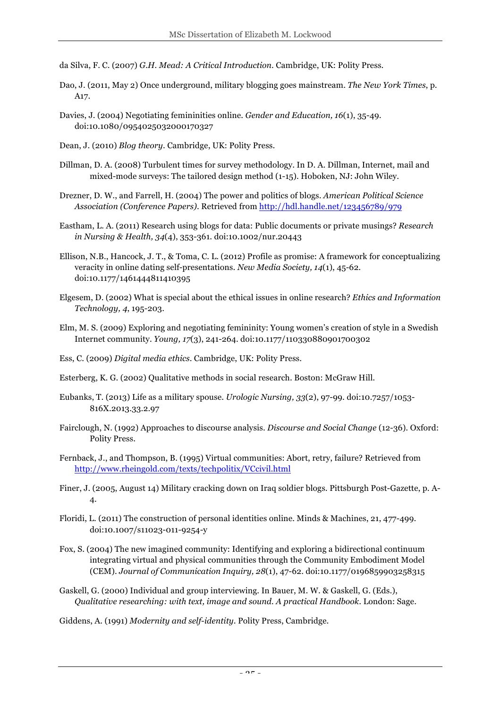da Silva, F. C. (2007) *G.H. Mead: A Critical Introduction*. Cambridge, UK: Polity Press.

- Dao, J. (2011, May 2) Once underground, military blogging goes mainstream. *The New York Times*, p. A17.
- Davies, J. (2004) Negotiating femininities online. *Gender and Education, 16*(1), 35-49. doi:10.1080/0954025032000170327
- Dean, J. (2010) *Blog theory*. Cambridge, UK: Polity Press.
- Dillman, D. A. (2008) Turbulent times for survey methodology. In D. A. Dillman, Internet, mail and mixed-mode surveys: The tailored design method (1-15). Hoboken, NJ: John Wiley.
- Drezner, D. W., and Farrell, H. (2004) The power and politics of blogs. *American Political Science Association (Conference Papers)*. Retrieved from http://hdl.handle.net/123456789/979
- Eastham, L. A. (2011) Research using blogs for data: Public documents or private musings? *Research in Nursing & Health, 34*(4), 353-361. doi:10.1002/nur.20443
- Ellison, N.B., Hancock, J. T., & Toma, C. L. (2012) Profile as promise: A framework for conceptualizing veracity in online dating self-presentations. *New Media Society, 14*(1), 45-62. doi:10.1177/1461444811410395
- Elgesem, D. (2002) What is special about the ethical issues in online research? *Ethics and Information Technology, 4*, 195-203.
- Elm, M. S. (2009) Exploring and negotiating femininity: Young women's creation of style in a Swedish Internet community. *Young, 17*(3), 241-264. doi:10.1177/110330880901700302
- Ess, C. (2009) *Digital media ethics*. Cambridge, UK: Polity Press.
- Esterberg, K. G. (2002) Qualitative methods in social research. Boston: McGraw Hill.
- Eubanks, T. (2013) Life as a military spouse. *Urologic Nursing, 33*(2), 97-99. doi:10.7257/1053- 816X.2013.33.2.97
- Fairclough, N. (1992) Approaches to discourse analysis. *Discourse and Social Change* (12-36). Oxford: Polity Press.
- Fernback, J., and Thompson, B. (1995) Virtual communities: Abort, retry, failure? Retrieved from http://www.rheingold.com/texts/techpolitix/VCcivil.html
- Finer, J. (2005, August 14) Military cracking down on Iraq soldier blogs. Pittsburgh Post-Gazette, p. A-4.
- Floridi, L. (2011) The construction of personal identities online. Minds & Machines, 21, 477-499. doi:10.1007/s11023-011-9254-y
- Fox, S. (2004) The new imagined community: Identifying and exploring a bidirectional continuum integrating virtual and physical communities through the Community Embodiment Model (CEM). *Journal of Communication Inquiry, 28*(1), 47-62. doi:10.1177/0196859903258315
- Gaskell, G. (2000) Individual and group interviewing. In Bauer, M. W. & Gaskell, G. (Eds.), *Qualitative researching: with text, image and sound. A practical Handbook*. London: Sage.

Giddens, A. (1991) *Modernity and self-identity*. Polity Press, Cambridge.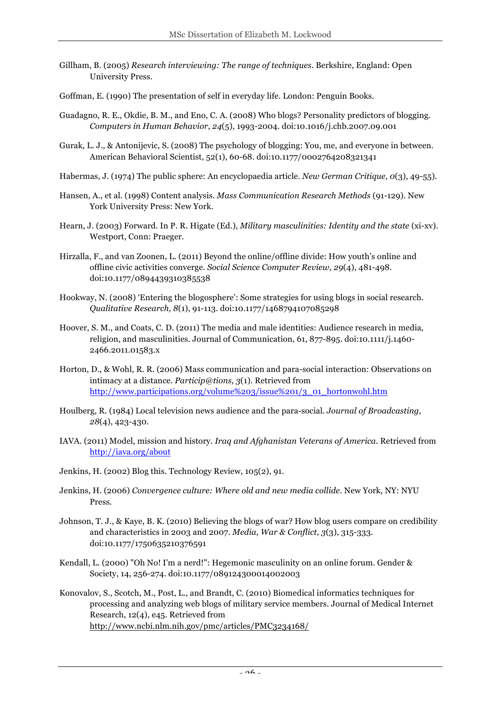- Gillham, B. (2005) *Research interviewing: The range of techniques*. Berkshire, England: Open University Press.
- Goffman, E. (1990) The presentation of self in everyday life. London: Penguin Books.
- Guadagno, R. E., Okdie, B. M., and Eno, C. A. (2008) Who blogs? Personality predictors of blogging. *Computers in Human Behavior*, *24*(5), 1993-2004. doi:10.1016/j.chb.2007.09.001
- Gurak, L. J., & Antonijevic, S. (2008) The psychology of blogging: You, me, and everyone in between. American Behavioral Scientist, 52(1), 60-68. doi:10.1177/0002764208321341
- Habermas, J. (1974) The public sphere: An encyclopaedia article. *New German Critique, 0*(3), 49-55).
- Hansen, A., et al. (1998) Content analysis. *Mass Communication Research Methods* (91-129). New York University Press: New York.
- Hearn, J. (2003) Forward. In P. R. Higate (Ed.), *Military masculinities: Identity and the state* (xi-xv). Westport, Conn: Praeger.
- Hirzalla, F., and van Zoonen, L. (2011) Beyond the online/offline divide: How youth's online and offline civic activities converge. *Social Science Computer Review, 29*(4), 481-498. doi:10.1177/0894439310385538
- Hookway, N. (2008) 'Entering the blogosphere': Some strategies for using blogs in social research. *Qualitative Research, 8*(1), 91-113. doi:10.1177/1468794107085298
- Hoover, S. M., and Coats, C. D. (2011) The media and male identities: Audience research in media, religion, and masculinities. Journal of Communication, 61, 877-895. doi:10.1111/j.1460- 2466.2011.01583.x
- Horton, D., & Wohl, R. R. (2006) Mass communication and para-social interaction: Observations on intimacy at a distance. *Particip@tions, 3*(1). Retrieved from http://www.participations.org/volume%203/issue%201/3\_01\_hortonwohl.htm
- Houlberg, R. (1984) Local television news audience and the para-social. *Journal of Broadcasting, 28*(4), 423-430.
- IAVA. (2011) Model, mission and history. *Iraq and Afghanistan Veterans of America*. Retrieved from http://iava.org/about
- Jenkins, H. (2002) Blog this. Technology Review, 105(2), 91.
- Jenkins, H. (2006) *Convergence culture: Where old and new media collide*. New York, NY: NYU Press.
- Johnson, T. J., & Kaye, B. K. (2010) Believing the blogs of war? How blog users compare on credibility and characteristics in 2003 and 2007. *Media, War & Conflict, 3*(3), 315-333. doi:10.1177/1750635210376591
- Kendall, L. (2000) "Oh No! I'm a nerd!": Hegemonic masculinity on an online forum. Gender & Society, 14, 256-274. doi:10.1177/089124300014002003
- Konovalov, S., Scotch, M., Post, L., and Brandt, C. (2010) Biomedical informatics techniques for processing and analyzing web blogs of military service members. Journal of Medical Internet Research, 12(4), e45. Retrieved from http://www.ncbi.nlm.nih.gov/pmc/articles/PMC3234168/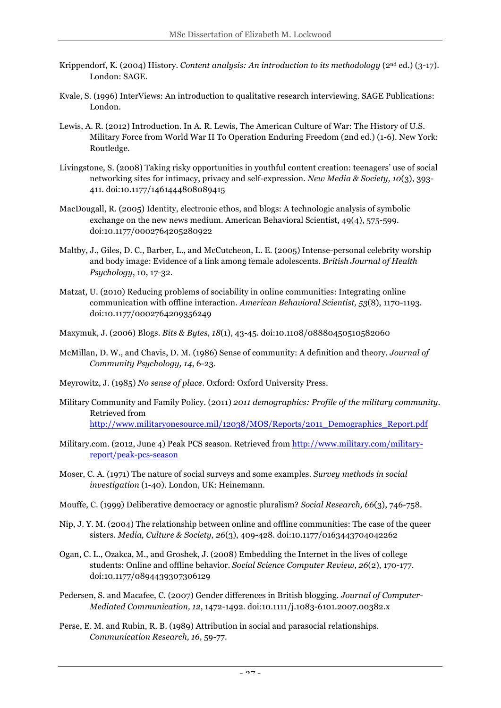- Krippendorf, K. (2004) History. *Content analysis: An introduction to its methodology* (2nd ed.) (3-17). London: SAGE.
- Kvale, S. (1996) InterViews: An introduction to qualitative research interviewing. SAGE Publications: London.
- Lewis, A. R. (2012) Introduction. In A. R. Lewis, The American Culture of War: The History of U.S. Military Force from World War II To Operation Enduring Freedom (2nd ed.) (1-6). New York: Routledge.
- Livingstone, S. (2008) Taking risky opportunities in youthful content creation: teenagers' use of social networking sites for intimacy, privacy and self-expression. *New Media & Society, 10*(3), 393- 411. doi:10.1177/1461444808089415
- MacDougall, R. (2005) Identity, electronic ethos, and blogs: A technologic analysis of symbolic exchange on the new news medium. American Behavioral Scientist, 49(4), 575-599. doi:10.1177/0002764205280922
- Maltby, J., Giles, D. C., Barber, L., and McCutcheon, L. E. (2005) Intense-personal celebrity worship and body image: Evidence of a link among female adolescents. *British Journal of Health Psychology*, 10, 17-32.
- Matzat, U. (2010) Reducing problems of sociability in online communities: Integrating online communication with offline interaction. *American Behavioral Scientist, 53*(8), 1170-1193. doi:10.1177/0002764209356249
- Maxymuk, J. (2006) Blogs. *Bits & Bytes, 18*(1), 43-45. doi:10.1108/08880450510582060
- McMillan, D. W., and Chavis, D. M. (1986) Sense of community: A definition and theory. *Journal of Community Psychology, 14*, 6-23.
- Meyrowitz, J. (1985) *No sense of place*. Oxford: Oxford University Press.
- Military Community and Family Policy. (2011) *2011 demographics: Profile of the military community*. Retrieved from http://www.militaryonesource.mil/12038/MOS/Reports/2011\_Demographics\_Report.pdf
- Military.com. (2012, June 4) Peak PCS season. Retrieved from http://www.military.com/militaryreport/peak-pcs-season
- Moser, C. A. (1971) The nature of social surveys and some examples. *Survey methods in social investigation* (1-40). London, UK: Heinemann.
- Mouffe, C. (1999) Deliberative democracy or agnostic pluralism? *Social Research, 66*(3), 746-758.
- Nip, J. Y. M. (2004) The relationship between online and offline communities: The case of the queer sisters. *Media, Culture & Society, 26*(3), 409-428. doi:10.1177/0163443704042262
- Ogan, C. L., Ozakca, M., and Groshek, J. (2008) Embedding the Internet in the lives of college students: Online and offline behavior. *Social Science Computer Review, 26*(2), 170-177. doi:10.1177/0894439307306129
- Pedersen, S. and Macafee, C. (2007) Gender differences in British blogging. *Journal of Computer-Mediated Communication, 12*, 1472-1492. doi:10.1111/j.1083-6101.2007.00382.x
- Perse, E. M. and Rubin, R. B. (1989) Attribution in social and parasocial relationships. *Communication Research, 16*, 59-77.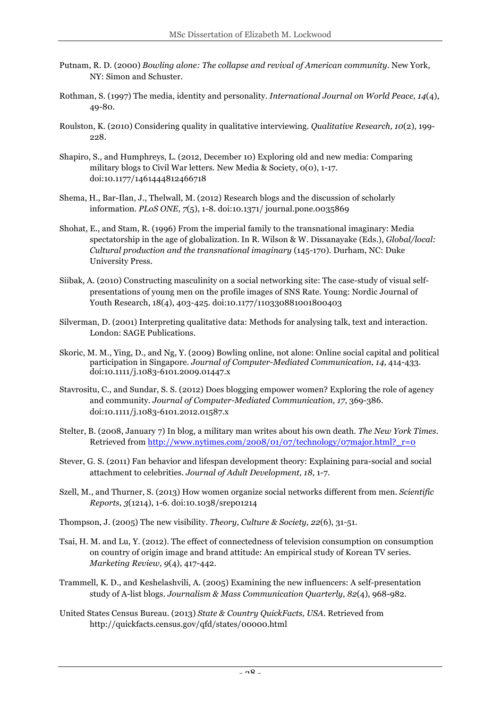- Putnam, R. D. (2000) *Bowling alone: The collapse and revival of American community*. New York, NY: Simon and Schuster.
- Rothman, S. (1997) The media, identity and personality. *International Journal on World Peace, 14*(4), 49-80.
- Roulston, K. (2010) Considering quality in qualitative interviewing. *Qualitative Research, 10*(2), 199- 228.
- Shapiro, S., and Humphreys, L. (2012, December 10) Exploring old and new media: Comparing military blogs to Civil War letters. New Media & Society, 0(0), 1-17. doi:10.1177/1461444812466718
- Shema, H., Bar-Ilan, J., Thelwall, M. (2012) Research blogs and the discussion of scholarly information. *PLoS ONE*, *7*(5), 1-8. doi:10.1371/ journal.pone.0035869
- Shohat, E., and Stam, R. (1996) From the imperial family to the transnational imaginary: Media spectatorship in the age of globalization. In R. Wilson & W. Dissanayake (Eds.), *Global/local: Cultural production and the transnational imaginary* (145-170). Durham, NC: Duke University Press.
- Siibak, A. (2010) Constructing masculinity on a social networking site: The case-study of visual selfpresentations of young men on the profile images of SNS Rate. Young: Nordic Journal of Youth Research, 18(4), 403-425. doi:10.1177/110330881001800403
- Silverman, D. (2001) Interpreting qualitative data: Methods for analysing talk, text and interaction. London: SAGE Publications.
- Skoric, M. M., Ying, D., and Ng, Y. (2009) Bowling online, not alone: Online social capital and political participation in Singapore. *Journal of Computer-Mediated Communication, 14*, 414-433. doi:10.1111/j.1083-6101.2009.01447.x
- Stavrositu, C., and Sundar, S. S. (2012) Does blogging empower women? Exploring the role of agency and community. *Journal of Computer-Mediated Communication, 17*, 369-386. doi:10.1111/j.1083-6101.2012.01587.x
- Stelter, B. (2008, January 7) In blog, a military man writes about his own death. *The New York Times*. Retrieved from http://www.nytimes.com/2008/01/07/technology/07major.html?\_r=0
- Stever, G. S. (2011) Fan behavior and lifespan development theory: Explaining para-social and social attachment to celebrities. *Journal of Adult Development, 18*, 1-7.
- Szell, M., and Thurner, S. (2013) How women organize social networks different from men. *Scientific Reports, 3*(1214), 1-6. doi:10.1038/srep01214
- Thompson, J. (2005) The new visibility. *Theory, Culture & Society, 22*(6), 31-51.
- Tsai, H. M. and Lu, Y. (2012). The effect of connectedness of television consumption on consumption on country of origin image and brand attitude: An empirical study of Korean TV series. *Marketing Review, 9*(4), 417-442.
- Trammell, K. D., and Keshelashvili, A. (2005) Examining the new influencers: A self-presentation study of A-list blogs. *Journalism & Mass Communication Quarterly, 82*(4), 968-982.
- United States Census Bureau. (2013) *State & Country QuickFacts, USA*. Retrieved from http://quickfacts.census.gov/qfd/states/00000.html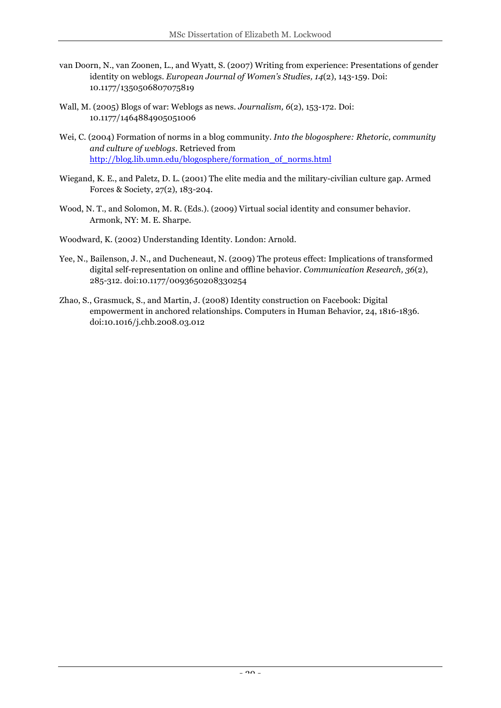- van Doorn, N., van Zoonen, L., and Wyatt, S. (2007) Writing from experience: Presentations of gender identity on weblogs. *European Journal of Women's Studies, 14*(2), 143-159. Doi: 10.1177/1350506807075819
- Wall, M. (2005) Blogs of war: Weblogs as news. *Journalism, 6*(2), 153-172. Doi: 10.1177/1464884905051006
- Wei, C. (2004) Formation of norms in a blog community. *Into the blogosphere: Rhetoric, community and culture of weblogs*. Retrieved from http://blog.lib.umn.edu/blogosphere/formation\_of\_norms.html
- Wiegand, K. E., and Paletz, D. L. (2001) The elite media and the military-civilian culture gap. Armed Forces & Society, 27(2), 183-204.
- Wood, N. T., and Solomon, M. R. (Eds.). (2009) Virtual social identity and consumer behavior. Armonk, NY: M. E. Sharpe.
- Woodward, K. (2002) Understanding Identity. London: Arnold.
- Yee, N., Bailenson, J. N., and Ducheneaut, N. (2009) The proteus effect: Implications of transformed digital self-representation on online and offline behavior. *Communication Research, 36*(2), 285-312. doi:10.1177/0093650208330254
- Zhao, S., Grasmuck, S., and Martin, J. (2008) Identity construction on Facebook: Digital empowerment in anchored relationships. Computers in Human Behavior, 24, 1816-1836. doi:10.1016/j.chb.2008.03.012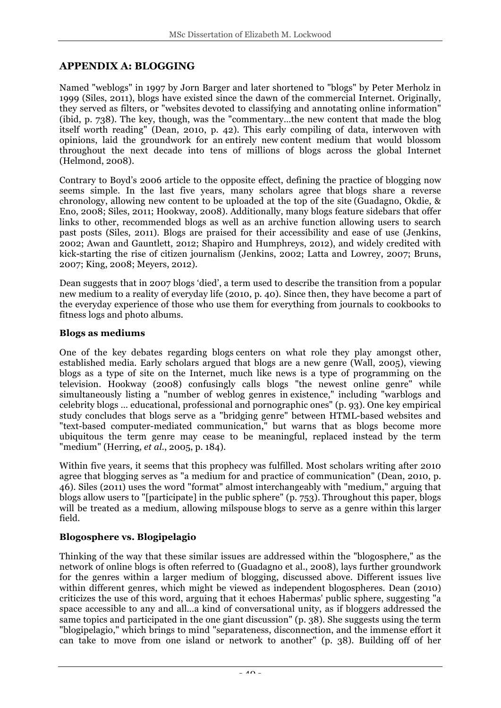### **APPENDIX A: BLOGGING**

Named "weblogs" in 1997 by Jorn Barger and later shortened to "blogs" by Peter Merholz in 1999 (Siles, 2011), blogs have existed since the dawn of the commercial Internet. Originally, they served as filters, or "websites devoted to classifying and annotating online information" (ibid, p. 738). The key, though, was the "commentary…the new content that made the blog itself worth reading" (Dean, 2010, p. 42). This early compiling of data, interwoven with opinions, laid the groundwork for an entirely new content medium that would blossom throughout the next decade into tens of millions of blogs across the global Internet (Helmond, 2008).

Contrary to Boyd's 2006 article to the opposite effect, defining the practice of blogging now seems simple. In the last five years, many scholars agree that blogs share a reverse chronology, allowing new content to be uploaded at the top of the site (Guadagno, Okdie, & Eno, 2008; Siles, 2011; Hookway, 2008). Additionally, many blogs feature sidebars that offer links to other, recommended blogs as well as an archive function allowing users to search past posts (Siles, 2011). Blogs are praised for their accessibility and ease of use (Jenkins, 2002; Awan and Gauntlett, 2012; Shapiro and Humphreys, 2012), and widely credited with kick-starting the rise of citizen journalism (Jenkins, 2002; Latta and Lowrey, 2007; Bruns, 2007; King, 2008; Meyers, 2012).

Dean suggests that in 2007 blogs 'died', a term used to describe the transition from a popular new medium to a reality of everyday life (2010, p. 40). Since then, they have become a part of the everyday experience of those who use them for everything from journals to cookbooks to fitness logs and photo albums.

#### **Blogs as mediums**

One of the key debates regarding blogs centers on what role they play amongst other, established media. Early scholars argued that blogs are a new genre (Wall, 2005), viewing blogs as a type of site on the Internet, much like news is a type of programming on the television. Hookway (2008) confusingly calls blogs "the newest online genre" while simultaneously listing a "number of weblog genres in existence," including "warblogs and celebrity blogs … educational, professional and pornographic ones" (p. 93). One key empirical study concludes that blogs serve as a "bridging genre" between HTML-based websites and "text-based computer-mediated communication," but warns that as blogs become more ubiquitous the term genre may cease to be meaningful, replaced instead by the term "medium" (Herring, *et al.*, 2005, p. 184).

Within five years, it seems that this prophecy was fulfilled. Most scholars writing after 2010 agree that blogging serves as "a medium for and practice of communication" (Dean, 2010, p. 46). Siles (2011) uses the word "format" almost interchangeably with "medium," arguing that blogs allow users to "[participate] in the public sphere" (p. 753). Throughout this paper, blogs will be treated as a medium, allowing milspouse blogs to serve as a genre within this larger field.

### **Blogosphere vs. Blogipelagio**

Thinking of the way that these similar issues are addressed within the "blogosphere," as the network of online blogs is often referred to (Guadagno et al., 2008), lays further groundwork for the genres within a larger medium of blogging, discussed above. Different issues live within different genres, which might be viewed as independent blogospheres. Dean (2010) criticizes the use of this word, arguing that it echoes Habermas' public sphere, suggesting "a space accessible to any and all…a kind of conversational unity, as if bloggers addressed the same topics and participated in the one giant discussion" (p. 38). She suggests using the term "blogipelagio," which brings to mind "separateness, disconnection, and the immense effort it can take to move from one island or network to another" (p. 38). Building off of her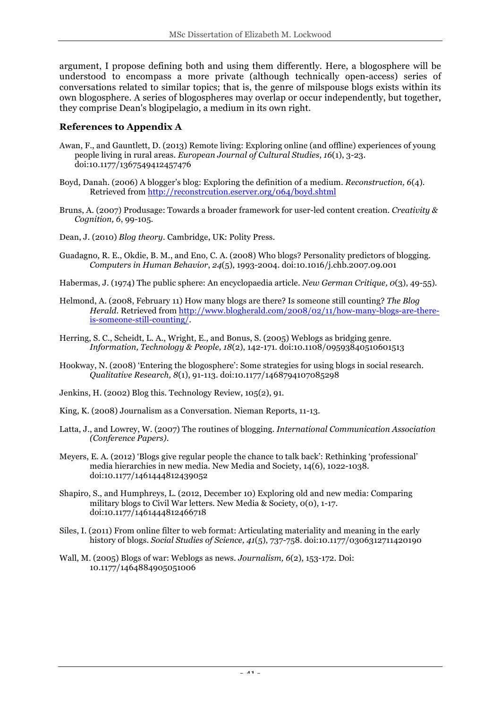argument, I propose defining both and using them differently. Here, a blogosphere will be understood to encompass a more private (although technically open-access) series of conversations related to similar topics; that is, the genre of milspouse blogs exists within its own blogosphere. A series of blogospheres may overlap or occur independently, but together, they comprise Dean's blogipelagio, a medium in its own right.

#### **References to Appendix A**

- Awan, F., and Gauntlett, D. (2013) Remote living: Exploring online (and offline) experiences of young people living in rural areas. *European Journal of Cultural Studies*, *16*(1), 3-23. doi:10.1177/1367549412457476
- Boyd, Danah. (2006) A blogger's blog: Exploring the definition of a medium. *Reconstruction, 6*(4). Retrieved from http://reconstrcution.eserver.org/064/boyd.shtml
- Bruns, A. (2007) Produsage: Towards a broader framework for user-led content creation. *Creativity & Cognition, 6*, 99-105.
- Dean, J. (2010) *Blog theory*. Cambridge, UK: Polity Press.
- Guadagno, R. E., Okdie, B. M., and Eno, C. A. (2008) Who blogs? Personality predictors of blogging. *Computers in Human Behavior*, *24*(5), 1993-2004. doi:10.1016/j.chb.2007.09.001
- Habermas, J. (1974) The public sphere: An encyclopaedia article. *New German Critique, 0*(3), 49-55).
- Helmond, A. (2008, February 11) How many blogs are there? Is someone still counting? *The Blog Herald*. Retrieved from http://www.blogherald.com/2008/02/11/how-many-blogs-are-thereis-someone-still-counting/.
- Herring, S. C., Scheidt, L. A., Wright, E., and Bonus, S. (2005) Weblogs as bridging genre. *Information, Technology & People, 18*(2), 142-171. doi:10.1108/09593840510601513
- Hookway, N. (2008) 'Entering the blogosphere': Some strategies for using blogs in social research. *Qualitative Research, 8*(1), 91-113. doi:10.1177/1468794107085298
- Jenkins, H. (2002) Blog this. Technology Review, 105(2), 91.
- King, K. (2008) Journalism as a Conversation. Nieman Reports, 11-13.
- Latta, J., and Lowrey, W. (2007) The routines of blogging. *International Communication Association (Conference Papers)*.
- Meyers, E. A. (2012) 'Blogs give regular people the chance to talk back': Rethinking 'professional' media hierarchies in new media. New Media and Society, 14(6), 1022-1038. doi:10.1177/1461444812439052
- Shapiro, S., and Humphreys, L. (2012, December 10) Exploring old and new media: Comparing military blogs to Civil War letters. New Media & Society, 0(0), 1-17. doi:10.1177/1461444812466718
- Siles, I. (2011) From online filter to web format: Articulating materiality and meaning in the early history of blogs. *Social Studies of Science, 41*(5), 737-758. doi:10.1177/0306312711420190
- Wall, M. (2005) Blogs of war: Weblogs as news. *Journalism, 6*(2), 153-172. Doi: 10.1177/1464884905051006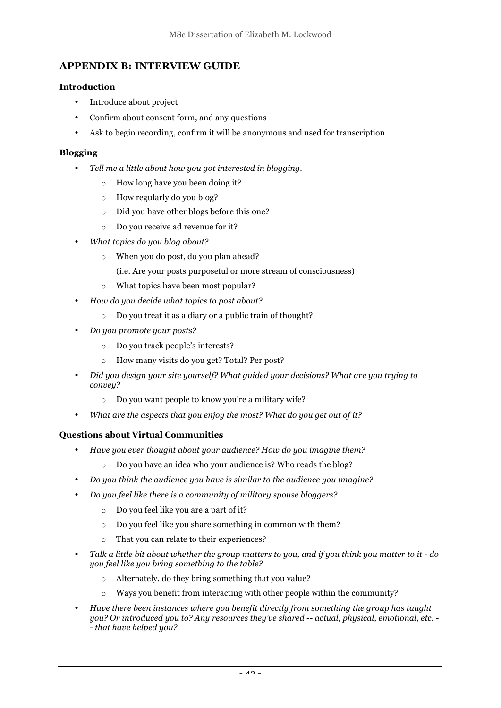### **APPENDIX B: INTERVIEW GUIDE**

#### **Introduction**

- Introduce about project
- Confirm about consent form, and any questions
- Ask to begin recording, confirm it will be anonymous and used for transcription

#### **Blogging**

- *Tell me a little about how you got interested in blogging.*
	- o How long have you been doing it?
	- o How regularly do you blog?
	- o Did you have other blogs before this one?
	- o Do you receive ad revenue for it?
- *What topics do you blog about?*
	- o When you do post, do you plan ahead?
		- (i.e. Are your posts purposeful or more stream of consciousness)
	- o What topics have been most popular?
- *How do you decide what topics to post about?*
	- o Do you treat it as a diary or a public train of thought?
- *Do you promote your posts?*
	- o Do you track people's interests?
	- o How many visits do you get? Total? Per post?
- *Did you design your site yourself? What guided your decisions? What are you trying to convey?*
	- o Do you want people to know you're a military wife?
- *What are the aspects that you enjoy the most? What do you get out of it?*

#### **Questions about Virtual Communities**

- *Have you ever thought about your audience? How do you imagine them?*
	- o Do you have an idea who your audience is? Who reads the blog?
- *Do you think the audience you have is similar to the audience you imagine?*
- *Do you feel like there is a community of military spouse bloggers?*
	- o Do you feel like you are a part of it?
	- o Do you feel like you share something in common with them?
	- o That you can relate to their experiences?
- *Talk a little bit about whether the group matters to you, and if you think you matter to it - do you feel like you bring something to the table?*
	- o Alternately, do they bring something that you value?
	- o Ways you benefit from interacting with other people within the community?
- *Have there been instances where you benefit directly from something the group has taught you? Or introduced you to? Any resources they've shared -- actual, physical, emotional, etc. - - that have helped you?*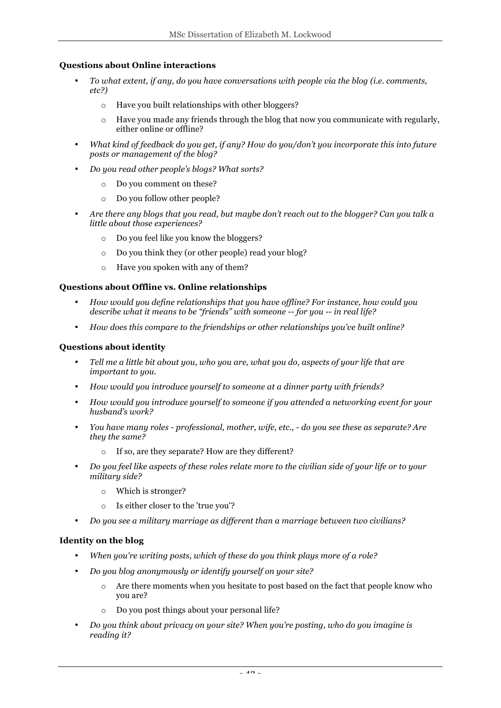#### **Questions about Online interactions**

- *To what extent, if any, do you have conversations with people via the blog (i.e. comments, etc?)*
	- o Have you built relationships with other bloggers?
	- $\circ$  Have you made any friends through the blog that now you communicate with regularly, either online or offline?
- *What kind of feedback do you get, if any? How do you/don't you incorporate this into future posts or management of the blog?*
- *Do you read other people's blogs? What sorts?* 
	- o Do you comment on these?
	- o Do you follow other people?
- *Are there any blogs that you read, but maybe don't reach out to the blogger? Can you talk a little about those experiences?*
	- o Do you feel like you know the bloggers?
	- o Do you think they (or other people) read your blog?
	- o Have you spoken with any of them?

#### **Questions about Offline vs. Online relationships**

- *How would you define relationships that you have offline? For instance, how could you describe what it means to be "friends" with someone -- for you -- in real life?*
- *How does this compare to the friendships or other relationships you've built online?*

#### **Questions about identity**

- *Tell me a little bit about you, who you are, what you do, aspects of your life that are important to you.*
- *How would you introduce yourself to someone at a dinner party with friends?*
- *How would you introduce yourself to someone if you attended a networking event for your husband's work?*
- *You have many roles - professional, mother, wife, etc., - do you see these as separate? Are they the same?*
	- If so, are they separate? How are they different?
- *Do you feel like aspects of these roles relate more to the civilian side of your life or to your military side?* 
	- o Which is stronger?
	- o Is either closer to the 'true you'?
- *Do you see a military marriage as different than a marriage between two civilians?*

#### **Identity on the blog**

- *When you're writing posts, which of these do you think plays more of a role?*
- *Do you blog anonymously or identify yourself on your site?*
	- o Are there moments when you hesitate to post based on the fact that people know who you are?
	- o Do you post things about your personal life?
- *Do you think about privacy on your site? When you're posting, who do you imagine is reading it?*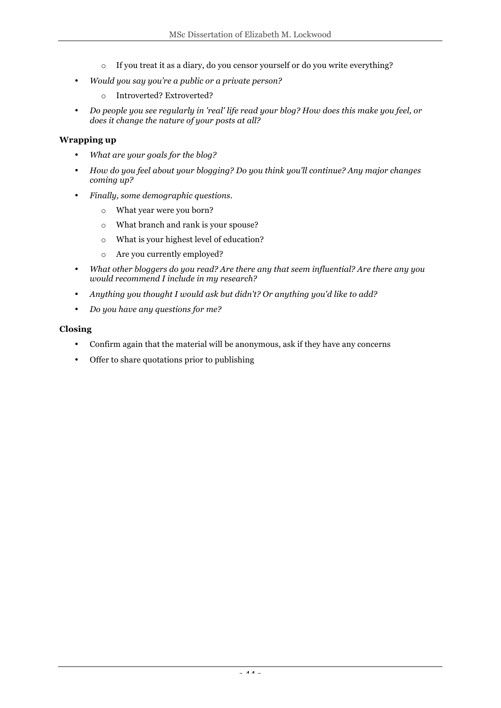- o If you treat it as a diary, do you censor yourself or do you write everything?
- *Would you say you're a public or a private person?* 
	- o Introverted? Extroverted?
- *Do people you see regularly in 'real' life read your blog? How does this make you feel, or does it change the nature of your posts at all?*

#### **Wrapping up**

- *What are your goals for the blog?*
- *How do you feel about your blogging? Do you think you'll continue? Any major changes coming up?*
- *Finally, some demographic questions.*
	- o What year were you born?
	- o What branch and rank is your spouse?
	- o What is your highest level of education?
	- o Are you currently employed?
- *What other bloggers do you read? Are there any that seem influential? Are there any you would recommend I include in my research?*
- *Anything you thought I would ask but didn't? Or anything you'd like to add?*
- *Do you have any questions for me?*

#### **Closing**

- Confirm again that the material will be anonymous, ask if they have any concerns
- Offer to share quotations prior to publishing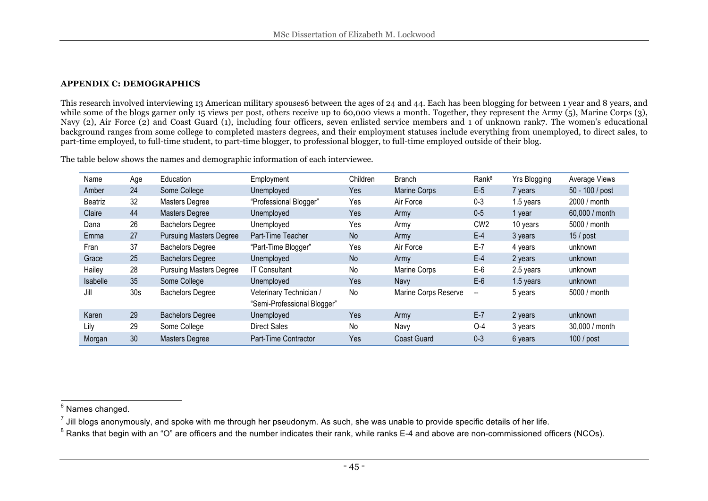#### **APPENDIX C: DEMOGRAPHICS**

This research involved interviewing 13 American military spouses6 between the ages of 24 and 44. Each has been blogging for between 1 year and 8 years, and while some of the blogs garner only 15 views per post, others receive up to 60,000 views a month. Together, they represent the Army (5), Marine Corps (3), Navy (2), Air Force (2) and Coast Guard (1), including four officers, seven enlisted service members and 1 of unknown rank7. The women's educational background ranges from some college to completed masters degrees, and their employment statuses include everything from unemployed, to direct sales, to part-time employed, to full-time student, to part-time blogger, to professional blogger, to full-time employed outside of their blog.

The table below shows the names and demographic information of each interviewee.

| Name     | Age             | Education                      | Employment                                             | Children  | <b>Branch</b>        | Rank <sup>8</sup>        | Yrs Blogging | Average Views   |
|----------|-----------------|--------------------------------|--------------------------------------------------------|-----------|----------------------|--------------------------|--------------|-----------------|
| Amber    | 24              | Some College                   | Unemployed                                             | Yes       | <b>Marine Corps</b>  | $E-5$                    | 7 years      | 50 - 100 / post |
| Beatriz  | 32              | Masters Degree                 | "Professional Blogger"                                 | Yes       | Air Force            | $0 - 3$                  | 1.5 years    | 2000 / month    |
| Claire   | 44              | <b>Masters Degree</b>          | Unemployed                                             | Yes       | Army                 | $0-5$                    | 1 year       | 60,000 / month  |
| Dana     | 26              | <b>Bachelors Degree</b>        | Unemployed                                             | Yes       | Army                 | CW <sub>2</sub>          | 10 years     | 5000 / month    |
| Emma     | 27              | <b>Pursuing Masters Degree</b> | Part-Time Teacher                                      | <b>No</b> | Army                 | $E-4$                    | 3 years      | $15/$ post      |
| Fran     | 37              | <b>Bachelors Degree</b>        | "Part-Time Blogger"                                    | Yes       | Air Force            | $E-7$                    | 4 years      | unknown         |
| Grace    | 25              | <b>Bachelors Degree</b>        | Unemployed                                             | <b>No</b> | Army                 | $E-4$                    | 2 years      | unknown         |
| Hailey   | 28              | <b>Pursuing Masters Degree</b> | <b>IT Consultant</b>                                   | No        | Marine Corps         | $E-6$                    | 2.5 years    | unknown         |
| Isabelle | 35              | Some College                   | Unemployed                                             | Yes       | <b>Navy</b>          | $E-6$                    | 1.5 years    | unknown         |
| Jill     | 30 <sub>s</sub> | <b>Bachelors Degree</b>        | Veterinary Technician /<br>"Semi-Professional Blogger" | No        | Marine Corps Reserve | $\overline{\phantom{a}}$ | 5 years      | 5000 / month    |
| Karen    | 29              | <b>Bachelors Degree</b>        | Unemployed                                             | Yes       | Army                 | $E-7$                    | 2 years      | unknown         |
| Lily     | 29              | Some College                   | <b>Direct Sales</b>                                    | No        | Navy                 | $O-4$                    | 3 years      | 30,000 / month  |
| Morgan   | 30              | <b>Masters Degree</b>          | Part-Time Contractor                                   | Yes       | Coast Guard          | $0 - 3$                  | 6 years      | 100 / post      |

<sup>&</sup>lt;sup>6</sup> Names changed.

 $^7$  Jill bloas anonymously, and spoke with me through her pseudonym. As such, she was unable to provide specific details of her life.

<sup>&</sup>lt;sup>8</sup> Ranks that begin with an "O" are officers and the number indicates their rank, while ranks E-4 and above are non-commissioned officers (NCOs).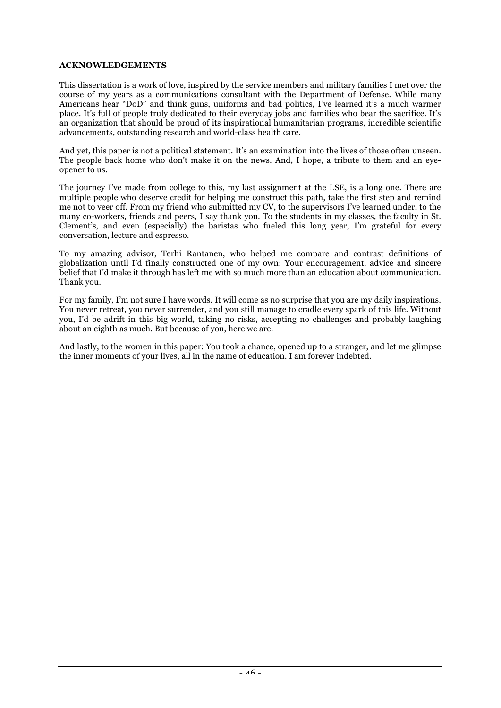#### **ACKNOWLEDGEMENTS**

This dissertation is a work of love, inspired by the service members and military families I met over the course of my years as a communications consultant with the Department of Defense. While many Americans hear "DoD" and think guns, uniforms and bad politics, I've learned it's a much warmer place. It's full of people truly dedicated to their everyday jobs and families who bear the sacrifice. It's an organization that should be proud of its inspirational humanitarian programs, incredible scientific advancements, outstanding research and world-class health care.

And yet, this paper is not a political statement. It's an examination into the lives of those often unseen. The people back home who don't make it on the news. And, I hope, a tribute to them and an eyeopener to us.

The journey I've made from college to this, my last assignment at the LSE, is a long one. There are multiple people who deserve credit for helping me construct this path, take the first step and remind me not to veer off. From my friend who submitted my CV, to the supervisors I've learned under, to the many co-workers, friends and peers, I say thank you. To the students in my classes, the faculty in St. Clement's, and even (especially) the baristas who fueled this long year, I'm grateful for every conversation, lecture and espresso.

To my amazing advisor, Terhi Rantanen, who helped me compare and contrast definitions of globalization until I'd finally constructed one of my own: Your encouragement, advice and sincere belief that I'd make it through has left me with so much more than an education about communication. Thank you.

For my family, I'm not sure I have words. It will come as no surprise that you are my daily inspirations. You never retreat, you never surrender, and you still manage to cradle every spark of this life. Without you, I'd be adrift in this big world, taking no risks, accepting no challenges and probably laughing about an eighth as much. But because of you, here we are.

And lastly, to the women in this paper: You took a chance, opened up to a stranger, and let me glimpse the inner moments of your lives, all in the name of education. I am forever indebted.